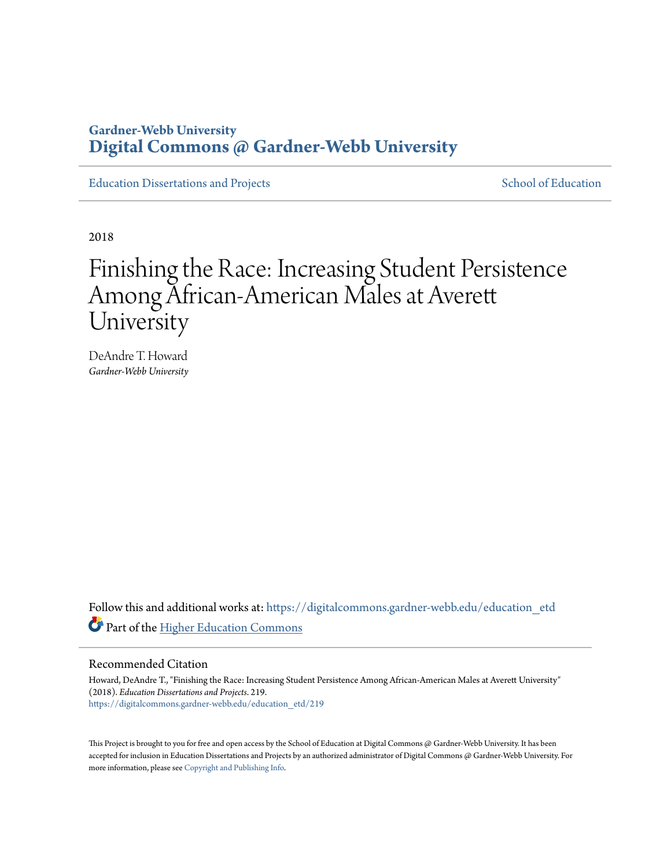## **Gardner-Webb University [Digital Commons @ Gardner-Webb University](https://digitalcommons.gardner-webb.edu?utm_source=digitalcommons.gardner-webb.edu%2Feducation_etd%2F219&utm_medium=PDF&utm_campaign=PDFCoverPages)**

[Education Dissertations and Projects](https://digitalcommons.gardner-webb.edu/education_etd?utm_source=digitalcommons.gardner-webb.edu%2Feducation_etd%2F219&utm_medium=PDF&utm_campaign=PDFCoverPages) [School of Education](https://digitalcommons.gardner-webb.edu/education?utm_source=digitalcommons.gardner-webb.edu%2Feducation_etd%2F219&utm_medium=PDF&utm_campaign=PDFCoverPages)

2018

# Finishing the Race: Increasing Student Persistence Among African-American Males at Averett University

DeAndre T. Howard *Gardner-Webb University*

Follow this and additional works at: [https://digitalcommons.gardner-webb.edu/education\\_etd](https://digitalcommons.gardner-webb.edu/education_etd?utm_source=digitalcommons.gardner-webb.edu%2Feducation_etd%2F219&utm_medium=PDF&utm_campaign=PDFCoverPages) Part of the [Higher Education Commons](http://network.bepress.com/hgg/discipline/1245?utm_source=digitalcommons.gardner-webb.edu%2Feducation_etd%2F219&utm_medium=PDF&utm_campaign=PDFCoverPages)

#### Recommended Citation

Howard, DeAndre T., "Finishing the Race: Increasing Student Persistence Among African-American Males at Averett University" (2018). *Education Dissertations and Projects*. 219. [https://digitalcommons.gardner-webb.edu/education\\_etd/219](https://digitalcommons.gardner-webb.edu/education_etd/219?utm_source=digitalcommons.gardner-webb.edu%2Feducation_etd%2F219&utm_medium=PDF&utm_campaign=PDFCoverPages)

This Project is brought to you for free and open access by the School of Education at Digital Commons @ Gardner-Webb University. It has been accepted for inclusion in Education Dissertations and Projects by an authorized administrator of Digital Commons @ Gardner-Webb University. For more information, please see [Copyright and Publishing Info](https://digitalcommons.gardner-webb.edu/copyright_publishing.html).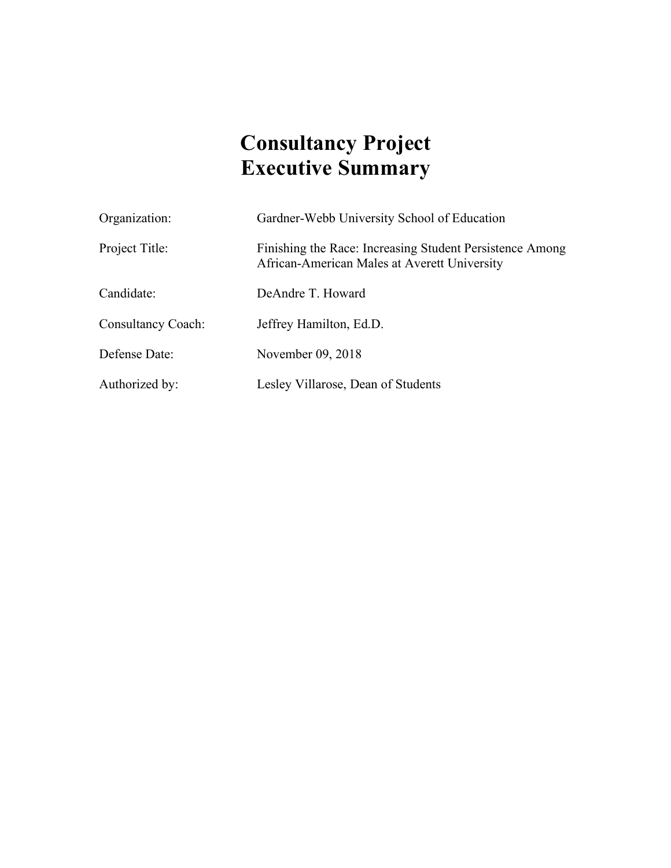# **Consultancy Project Executive Summary**

| Organization:             | Gardner-Webb University School of Education                                                              |
|---------------------------|----------------------------------------------------------------------------------------------------------|
| Project Title:            | Finishing the Race: Increasing Student Persistence Among<br>African-American Males at Averett University |
| Candidate:                | DeAndre T. Howard                                                                                        |
| <b>Consultancy Coach:</b> | Jeffrey Hamilton, Ed.D.                                                                                  |
| Defense Date:             | November 09, 2018                                                                                        |
| Authorized by:            | Lesley Villarose, Dean of Students                                                                       |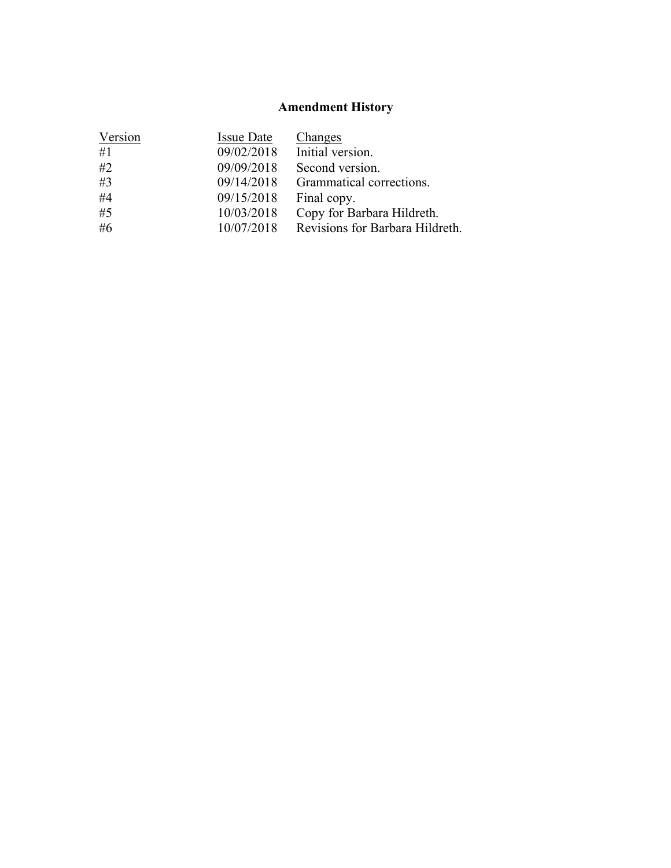## **Amendment History**

| Version<br><b>Issue Date</b><br><b>Changes</b>      |  |
|-----------------------------------------------------|--|
| Initial version.<br>#1<br>09/02/2018                |  |
| #2<br>09/09/2018<br>Second version.                 |  |
| #3<br>09/14/2018<br>Grammatical corrections.        |  |
| #4<br>09/15/2018<br>Final copy.                     |  |
| #5<br>10/03/2018<br>Copy for Barbara Hildreth.      |  |
| #6<br>Revisions for Barbara Hildreth.<br>10/07/2018 |  |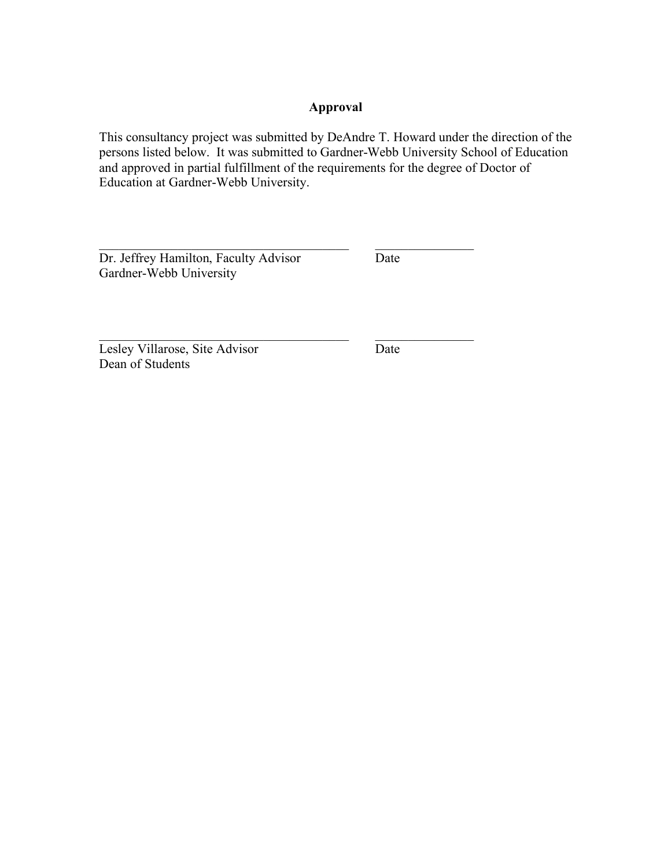## **Approval**

This consultancy project was submitted by DeAndre T. Howard under the direction of the persons listed below. It was submitted to Gardner-Webb University School of Education and approved in partial fulfillment of the requirements for the degree of Doctor of Education at Gardner-Webb University.

 $\mathcal{L}_\text{max}$  , and the contract of the contract of the contract of the contract of the contract of the contract of the contract of the contract of the contract of the contract of the contract of the contract of the contr

 $\mathcal{L}_\text{max}$  and the contract of the contract of the contract of the contract of the contract of the contract of the contract of the contract of the contract of the contract of the contract of the contract of the contrac

Dr. Jeffrey Hamilton, Faculty Advisor Date Gardner-Webb University

Lesley Villarose, Site Advisor Date Dean of Students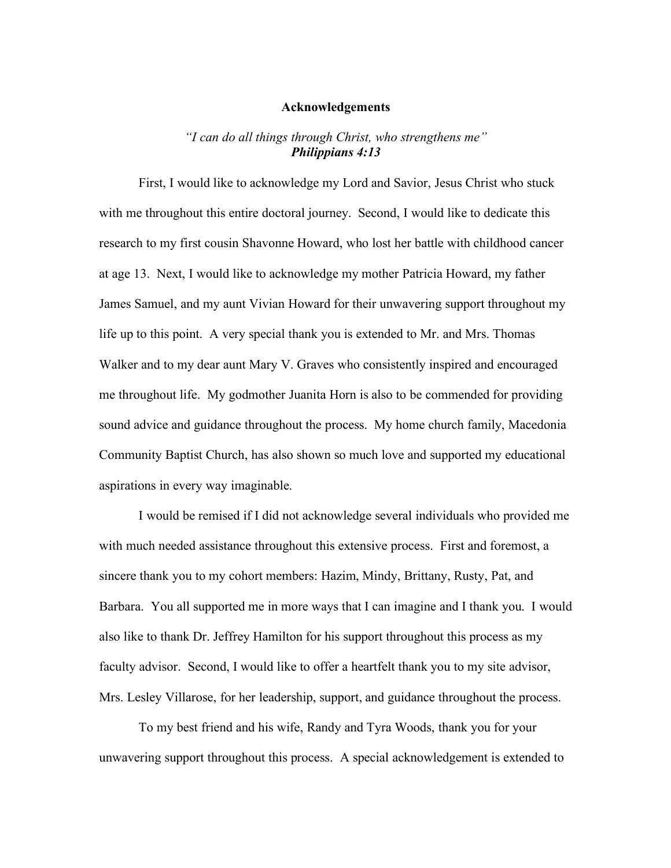#### **Acknowledgements**

### *"I can do all things through Christ, who strengthens me" Philippians 4:13*

First, I would like to acknowledge my Lord and Savior, Jesus Christ who stuck with me throughout this entire doctoral journey. Second, I would like to dedicate this research to my first cousin Shavonne Howard, who lost her battle with childhood cancer at age 13. Next, I would like to acknowledge my mother Patricia Howard, my father James Samuel, and my aunt Vivian Howard for their unwavering support throughout my life up to this point. A very special thank you is extended to Mr. and Mrs. Thomas Walker and to my dear aunt Mary V. Graves who consistently inspired and encouraged me throughout life. My godmother Juanita Horn is also to be commended for providing sound advice and guidance throughout the process. My home church family, Macedonia Community Baptist Church, has also shown so much love and supported my educational aspirations in every way imaginable.

I would be remised if I did not acknowledge several individuals who provided me with much needed assistance throughout this extensive process. First and foremost, a sincere thank you to my cohort members: Hazim, Mindy, Brittany, Rusty, Pat, and Barbara. You all supported me in more ways that I can imagine and I thank you. I would also like to thank Dr. Jeffrey Hamilton for his support throughout this process as my faculty advisor. Second, I would like to offer a heartfelt thank you to my site advisor, Mrs. Lesley Villarose, for her leadership, support, and guidance throughout the process.

To my best friend and his wife, Randy and Tyra Woods, thank you for your unwavering support throughout this process. A special acknowledgement is extended to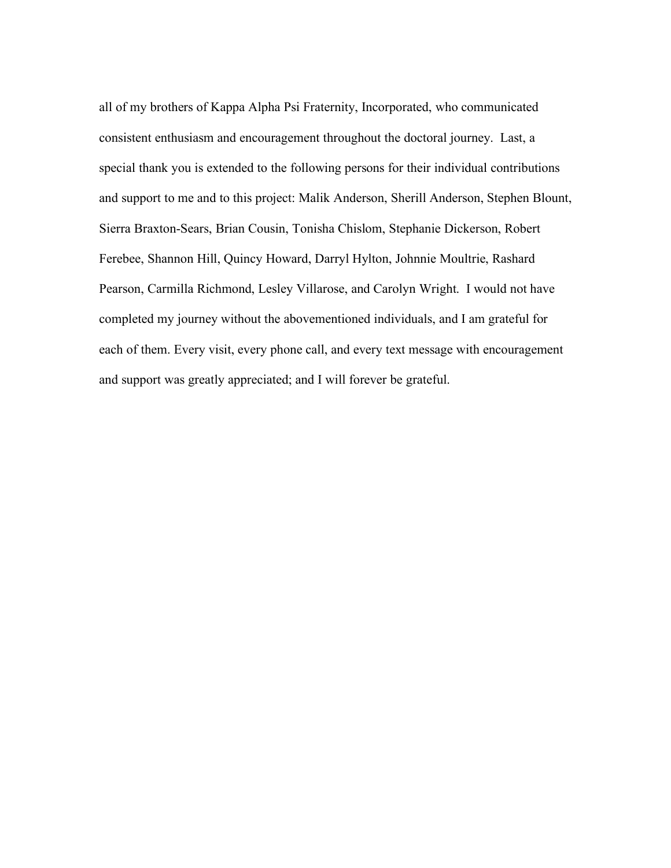all of my brothers of Kappa Alpha Psi Fraternity, Incorporated, who communicated consistent enthusiasm and encouragement throughout the doctoral journey. Last, a special thank you is extended to the following persons for their individual contributions and support to me and to this project: Malik Anderson, Sherill Anderson, Stephen Blount, Sierra Braxton-Sears, Brian Cousin, Tonisha Chislom, Stephanie Dickerson, Robert Ferebee, Shannon Hill, Quincy Howard, Darryl Hylton, Johnnie Moultrie, Rashard Pearson, Carmilla Richmond, Lesley Villarose, and Carolyn Wright. I would not have completed my journey without the abovementioned individuals, and I am grateful for each of them. Every visit, every phone call, and every text message with encouragement and support was greatly appreciated; and I will forever be grateful.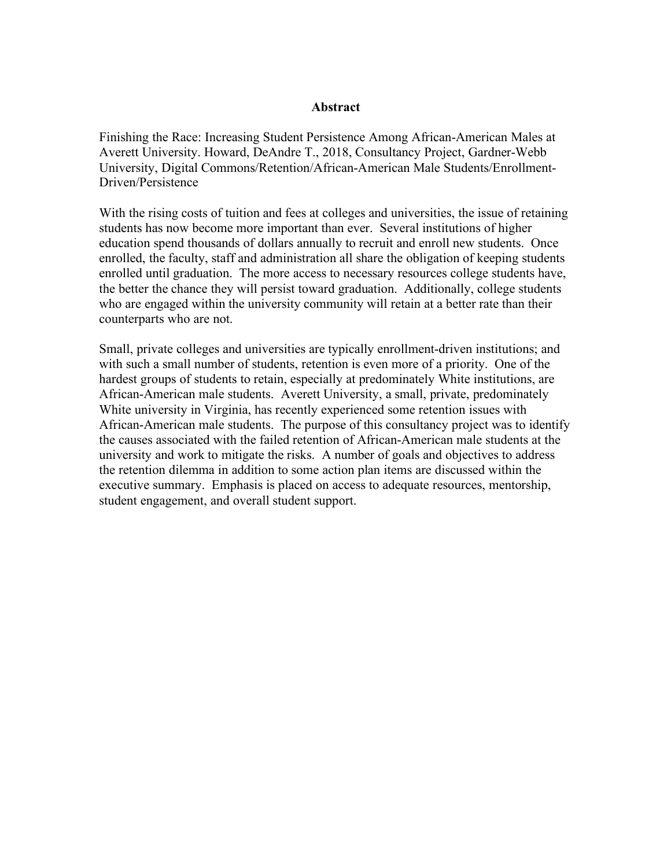#### **Abstract**

Finishing the Race: Increasing Student Persistence Among African-American Males at Averett University. Howard, DeAndre T., 2018, Consultancy Project, Gardner-Webb University, Digital Commons/Retention/African-American Male Students/Enrollment-Driven/Persistence

With the rising costs of tuition and fees at colleges and universities, the issue of retaining students has now become more important than ever. Several institutions of higher education spend thousands of dollars annually to recruit and enroll new students. Once enrolled, the faculty, staff and administration all share the obligation of keeping students enrolled until graduation. The more access to necessary resources college students have, the better the chance they will persist toward graduation. Additionally, college students who are engaged within the university community will retain at a better rate than their counterparts who are not.

Small, private colleges and universities are typically enrollment-driven institutions; and with such a small number of students, retention is even more of a priority. One of the hardest groups of students to retain, especially at predominately White institutions, are African-American male students. Averett University, a small, private, predominately White university in Virginia, has recently experienced some retention issues with African-American male students. The purpose of this consultancy project was to identify the causes associated with the failed retention of African-American male students at the university and work to mitigate the risks. A number of goals and objectives to address the retention dilemma in addition to some action plan items are discussed within the executive summary. Emphasis is placed on access to adequate resources, mentorship, student engagement, and overall student support.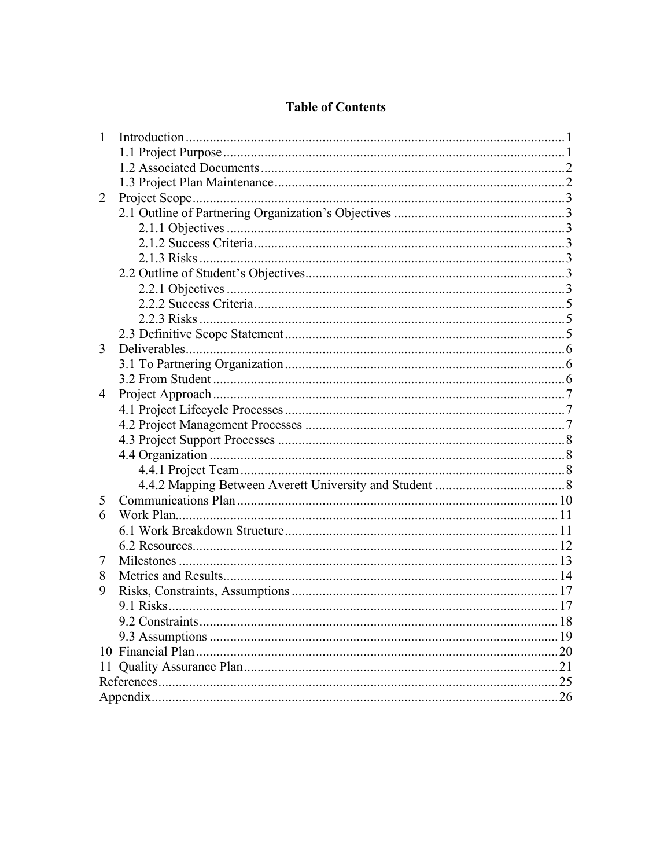## **Table of Contents**

| $\mathbf{1}$ |      |
|--------------|------|
|              |      |
|              |      |
|              |      |
| 2            |      |
|              |      |
|              |      |
|              |      |
|              |      |
|              |      |
|              |      |
|              |      |
|              |      |
|              |      |
| 3            |      |
|              |      |
|              |      |
| 4            |      |
|              |      |
|              |      |
|              |      |
|              |      |
|              |      |
|              |      |
| 5            |      |
| 6            |      |
|              |      |
|              |      |
| 7            |      |
| 8            |      |
| 9            |      |
|              |      |
|              |      |
|              | . 19 |
|              |      |
|              | .21  |
|              | 25   |
|              |      |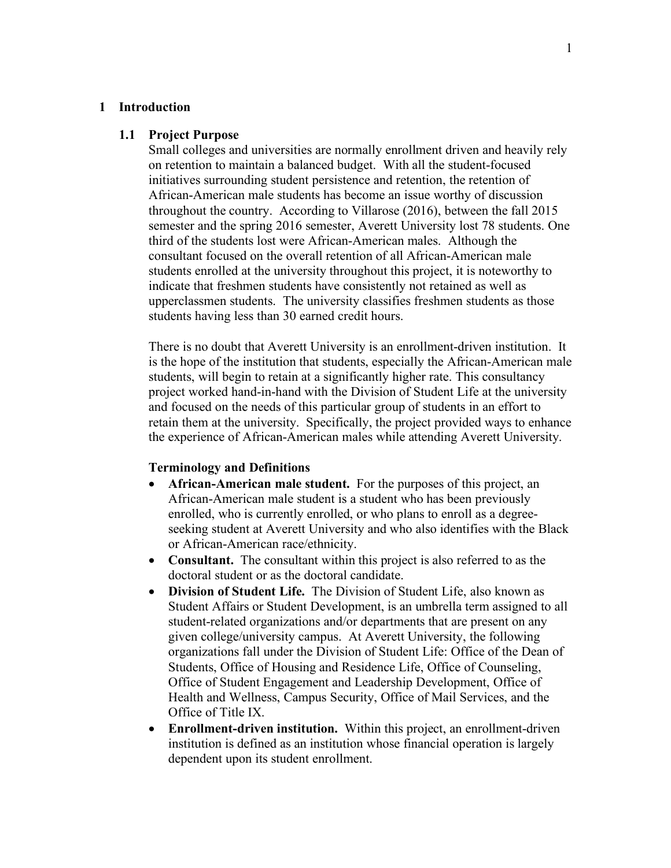#### **1 Introduction**

#### **1.1 Project Purpose**

Small colleges and universities are normally enrollment driven and heavily rely on retention to maintain a balanced budget. With all the student-focused initiatives surrounding student persistence and retention, the retention of African-American male students has become an issue worthy of discussion throughout the country. According to Villarose (2016), between the fall 2015 semester and the spring 2016 semester, Averett University lost 78 students. One third of the students lost were African-American males. Although the consultant focused on the overall retention of all African-American male students enrolled at the university throughout this project, it is noteworthy to indicate that freshmen students have consistently not retained as well as upperclassmen students. The university classifies freshmen students as those students having less than 30 earned credit hours.

There is no doubt that Averett University is an enrollment-driven institution. It is the hope of the institution that students, especially the African-American male students, will begin to retain at a significantly higher rate. This consultancy project worked hand-in-hand with the Division of Student Life at the university and focused on the needs of this particular group of students in an effort to retain them at the university. Specifically, the project provided ways to enhance the experience of African-American males while attending Averett University.

#### **Terminology and Definitions**

- **African-American male student.** For the purposes of this project, an African-American male student is a student who has been previously enrolled, who is currently enrolled, or who plans to enroll as a degreeseeking student at Averett University and who also identifies with the Black or African-American race/ethnicity.
- **Consultant.** The consultant within this project is also referred to as the doctoral student or as the doctoral candidate.
- **Division of Student Life.** The Division of Student Life, also known as Student Affairs or Student Development, is an umbrella term assigned to all student-related organizations and/or departments that are present on any given college/university campus. At Averett University, the following organizations fall under the Division of Student Life: Office of the Dean of Students, Office of Housing and Residence Life, Office of Counseling, Office of Student Engagement and Leadership Development, Office of Health and Wellness, Campus Security, Office of Mail Services, and the Office of Title IX.
- **Enrollment-driven institution.** Within this project, an enrollment-driven institution is defined as an institution whose financial operation is largely dependent upon its student enrollment.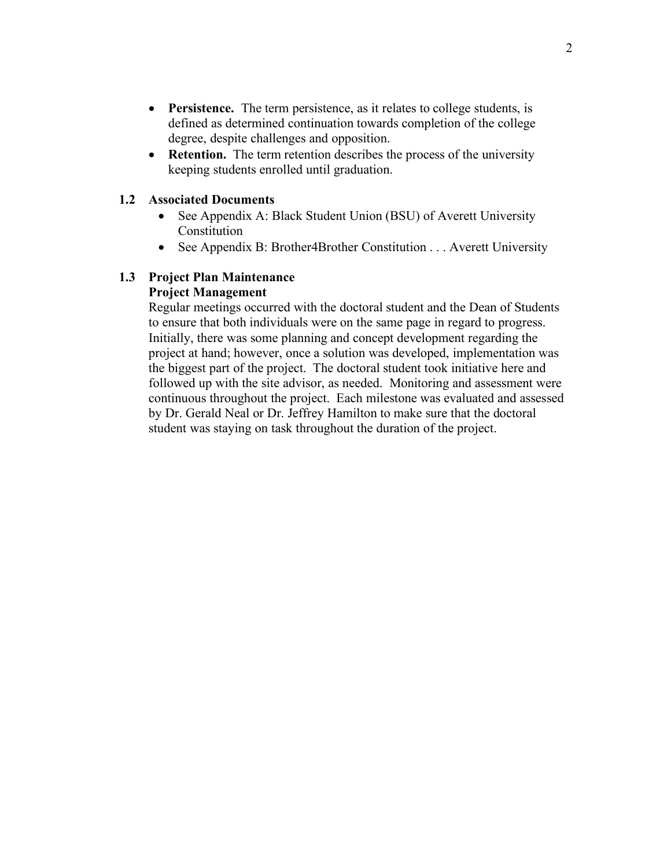- **Persistence.** The term persistence, as it relates to college students, is defined as determined continuation towards completion of the college degree, despite challenges and opposition.
- **Retention.** The term retention describes the process of the university keeping students enrolled until graduation.

#### **1.2 Associated Documents**

- See Appendix A: Black Student Union (BSU) of Averett University Constitution
- See Appendix B: Brother4Brother Constitution . . . Averett University

#### **1.3 Project Plan Maintenance Project Management**

Regular meetings occurred with the doctoral student and the Dean of Students to ensure that both individuals were on the same page in regard to progress. Initially, there was some planning and concept development regarding the project at hand; however, once a solution was developed, implementation was the biggest part of the project. The doctoral student took initiative here and followed up with the site advisor, as needed. Monitoring and assessment were continuous throughout the project. Each milestone was evaluated and assessed by Dr. Gerald Neal or Dr. Jeffrey Hamilton to make sure that the doctoral student was staying on task throughout the duration of the project.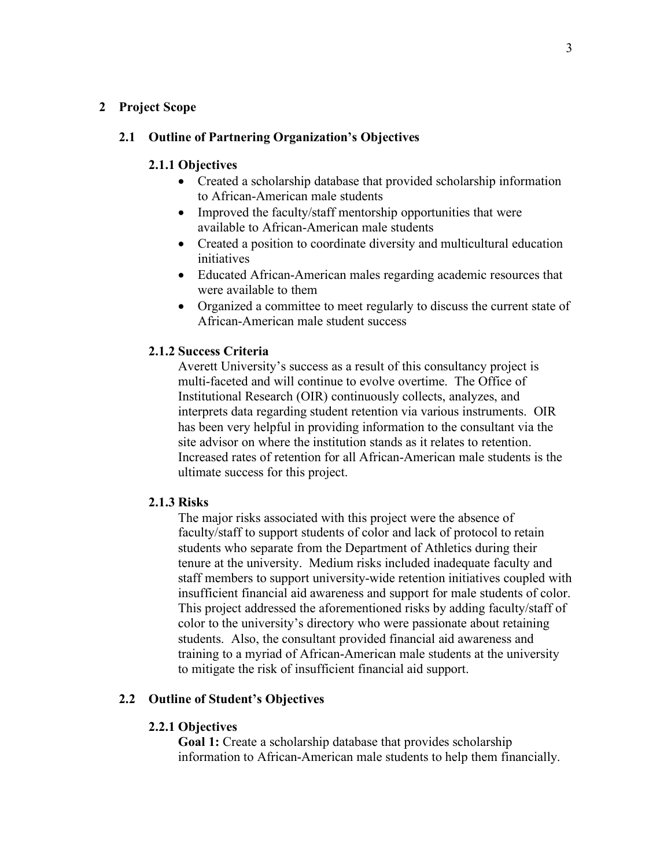#### **2 Project Scope**

#### **2.1 Outline of Partnering Organization's Objectives**

#### **2.1.1 Objectives**

- Created a scholarship database that provided scholarship information to African-American male students
- Improved the faculty/staff mentorship opportunities that were available to African-American male students
- Created a position to coordinate diversity and multicultural education initiatives
- Educated African-American males regarding academic resources that were available to them
- Organized a committee to meet regularly to discuss the current state of African-American male student success

#### **2.1.2 Success Criteria**

Averett University's success as a result of this consultancy project is multi-faceted and will continue to evolve overtime. The Office of Institutional Research (OIR) continuously collects, analyzes, and interprets data regarding student retention via various instruments. OIR has been very helpful in providing information to the consultant via the site advisor on where the institution stands as it relates to retention. Increased rates of retention for all African-American male students is the ultimate success for this project.

#### **2.1.3 Risks**

The major risks associated with this project were the absence of faculty/staff to support students of color and lack of protocol to retain students who separate from the Department of Athletics during their tenure at the university. Medium risks included inadequate faculty and staff members to support university-wide retention initiatives coupled with insufficient financial aid awareness and support for male students of color. This project addressed the aforementioned risks by adding faculty/staff of color to the university's directory who were passionate about retaining students. Also, the consultant provided financial aid awareness and training to a myriad of African-American male students at the university to mitigate the risk of insufficient financial aid support.

#### **2.2 Outline of Student's Objectives**

#### **2.2.1 Objectives**

**Goal 1:** Create a scholarship database that provides scholarship information to African-American male students to help them financially.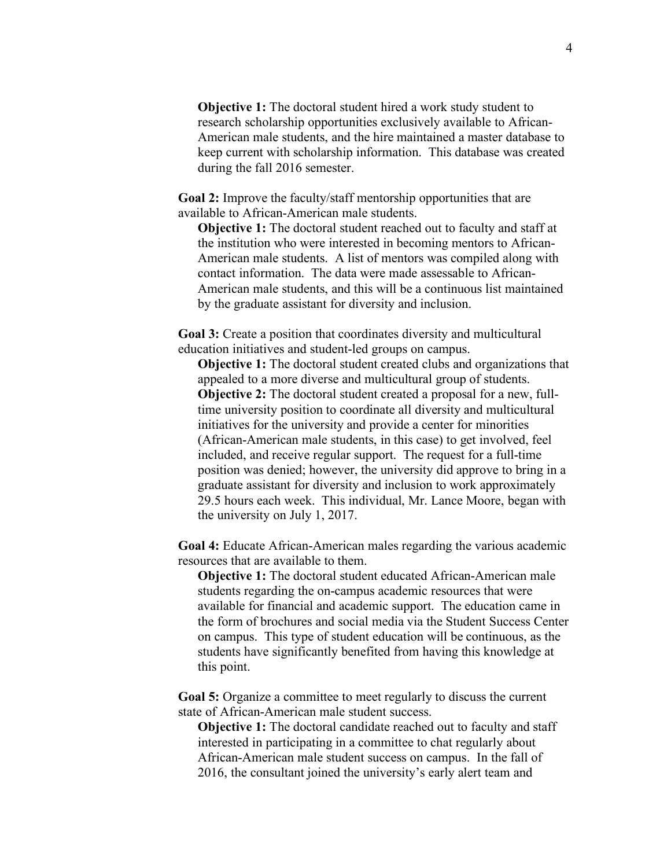**Objective 1:** The doctoral student hired a work study student to research scholarship opportunities exclusively available to African-American male students, and the hire maintained a master database to keep current with scholarship information. This database was created during the fall 2016 semester.

**Goal 2:** Improve the faculty/staff mentorship opportunities that are available to African-American male students.

**Objective 1:** The doctoral student reached out to faculty and staff at the institution who were interested in becoming mentors to African-American male students. A list of mentors was compiled along with contact information. The data were made assessable to African-American male students, and this will be a continuous list maintained by the graduate assistant for diversity and inclusion.

**Goal 3:** Create a position that coordinates diversity and multicultural education initiatives and student-led groups on campus.

**Objective 1:** The doctoral student created clubs and organizations that appealed to a more diverse and multicultural group of students. **Objective 2:** The doctoral student created a proposal for a new, fulltime university position to coordinate all diversity and multicultural initiatives for the university and provide a center for minorities (African-American male students, in this case) to get involved, feel included, and receive regular support. The request for a full-time position was denied; however, the university did approve to bring in a graduate assistant for diversity and inclusion to work approximately 29.5 hours each week. This individual, Mr. Lance Moore, began with the university on July 1, 2017.

**Goal 4:** Educate African-American males regarding the various academic resources that are available to them.

**Objective 1:** The doctoral student educated African-American male students regarding the on-campus academic resources that were available for financial and academic support. The education came in the form of brochures and social media via the Student Success Center on campus. This type of student education will be continuous, as the students have significantly benefited from having this knowledge at this point.

**Goal 5:** Organize a committee to meet regularly to discuss the current state of African-American male student success.

**Objective 1:** The doctoral candidate reached out to faculty and staff interested in participating in a committee to chat regularly about African-American male student success on campus. In the fall of 2016, the consultant joined the university's early alert team and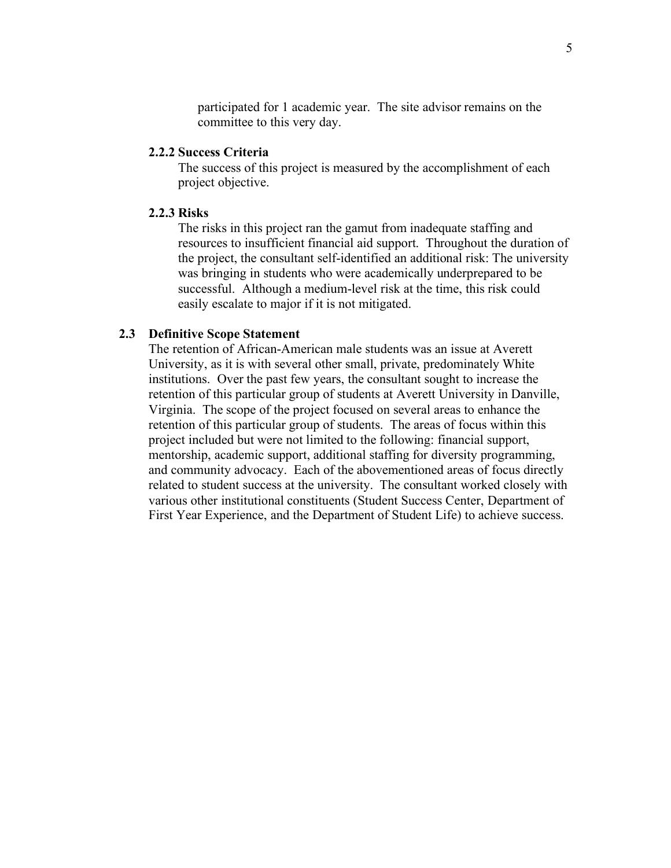participated for 1 academic year. The site advisor remains on the committee to this very day.

### **2.2.2 Success Criteria**

The success of this project is measured by the accomplishment of each project objective.

#### **2.2.3 Risks**

The risks in this project ran the gamut from inadequate staffing and resources to insufficient financial aid support. Throughout the duration of the project, the consultant self-identified an additional risk: The university was bringing in students who were academically underprepared to be successful. Although a medium-level risk at the time, this risk could easily escalate to major if it is not mitigated.

#### **2.3 Definitive Scope Statement**

The retention of African-American male students was an issue at Averett University, as it is with several other small, private, predominately White institutions. Over the past few years, the consultant sought to increase the retention of this particular group of students at Averett University in Danville, Virginia. The scope of the project focused on several areas to enhance the retention of this particular group of students. The areas of focus within this project included but were not limited to the following: financial support, mentorship, academic support, additional staffing for diversity programming, and community advocacy. Each of the abovementioned areas of focus directly related to student success at the university. The consultant worked closely with various other institutional constituents (Student Success Center, Department of First Year Experience, and the Department of Student Life) to achieve success.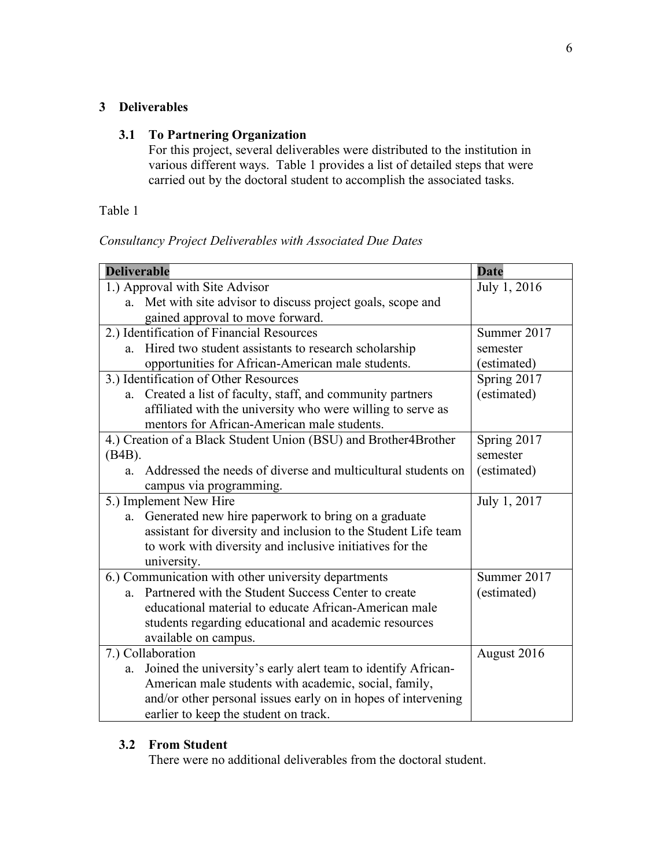### **3 Deliverables**

## **3.1 To Partnering Organization**

For this project, several deliverables were distributed to the institution in various different ways. Table 1 provides a list of detailed steps that were carried out by the doctoral student to accomplish the associated tasks.

## Table 1

## *Consultancy Project Deliverables with Associated Due Dates*

| <b>Deliverable</b>                                                  | <b>Date</b>  |
|---------------------------------------------------------------------|--------------|
| 1.) Approval with Site Advisor                                      | July 1, 2016 |
| a. Met with site advisor to discuss project goals, scope and        |              |
| gained approval to move forward.                                    |              |
| 2.) Identification of Financial Resources                           | Summer 2017  |
| Hired two student assistants to research scholarship<br>a.          | semester     |
| opportunities for African-American male students.                   | (estimated)  |
| 3.) Identification of Other Resources                               | Spring 2017  |
| Created a list of faculty, staff, and community partners<br>a.      | (estimated)  |
| affiliated with the university who were willing to serve as         |              |
| mentors for African-American male students.                         |              |
| 4.) Creation of a Black Student Union (BSU) and Brother4Brother     | Spring 2017  |
| $(B4B)$ .                                                           | semester     |
| Addressed the needs of diverse and multicultural students on<br>a.  | (estimated)  |
| campus via programming.                                             |              |
| 5.) Implement New Hire                                              | July 1, 2017 |
| Generated new hire paperwork to bring on a graduate<br>a.           |              |
| assistant for diversity and inclusion to the Student Life team      |              |
| to work with diversity and inclusive initiatives for the            |              |
| university.                                                         |              |
| 6.) Communication with other university departments                 | Summer 2017  |
| a. Partnered with the Student Success Center to create              | (estimated)  |
| educational material to educate African-American male               |              |
| students regarding educational and academic resources               |              |
| available on campus.                                                |              |
| 7.) Collaboration                                                   | August 2016  |
| Joined the university's early alert team to identify African-<br>a. |              |
| American male students with academic, social, family,               |              |
| and/or other personal issues early on in hopes of intervening       |              |
| earlier to keep the student on track.                               |              |

### **3.2 From Student**

There were no additional deliverables from the doctoral student.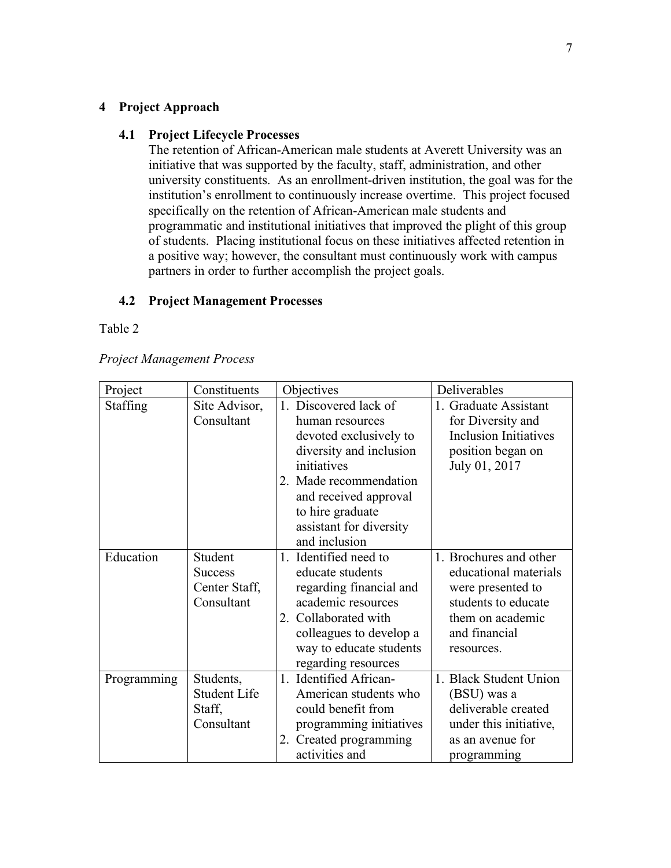### **4 Project Approach**

#### **4.1 Project Lifecycle Processes**

The retention of African-American male students at Averett University was an initiative that was supported by the faculty, staff, administration, and other university constituents. As an enrollment-driven institution, the goal was for the institution's enrollment to continuously increase overtime. This project focused specifically on the retention of African-American male students and programmatic and institutional initiatives that improved the plight of this group of students. Placing institutional focus on these initiatives affected retention in a positive way; however, the consultant must continuously work with campus partners in order to further accomplish the project goals.

## **4.2 Project Management Processes**

#### Table 2

|  | <b>Project Management Process</b> |
|--|-----------------------------------|
|  |                                   |

| Project         | Constituents        | Objectives              | Deliverables                 |
|-----------------|---------------------|-------------------------|------------------------------|
| <b>Staffing</b> | Site Advisor,       | Discovered lack of      | 1. Graduate Assistant        |
|                 | Consultant          | human resources         | for Diversity and            |
|                 |                     | devoted exclusively to  | <b>Inclusion Initiatives</b> |
|                 |                     | diversity and inclusion | position began on            |
|                 |                     | initiatives             | July 01, 2017                |
|                 |                     | 2. Made recommendation  |                              |
|                 |                     | and received approval   |                              |
|                 |                     | to hire graduate        |                              |
|                 |                     | assistant for diversity |                              |
|                 |                     | and inclusion           |                              |
| Education       | Student             | 1. Identified need to   | 1. Brochures and other       |
|                 | <b>Success</b>      | educate students        | educational materials        |
|                 | Center Staff,       | regarding financial and | were presented to            |
|                 | Consultant          | academic resources      | students to educate          |
|                 |                     | 2. Collaborated with    | them on academic             |
|                 |                     | colleagues to develop a | and financial                |
|                 |                     | way to educate students | resources.                   |
|                 |                     | regarding resources     |                              |
| Programming     | Students,           | 1. Identified African-  | 1. Black Student Union       |
|                 | <b>Student Life</b> | American students who   | (BSU) was a                  |
|                 | Staff,              | could benefit from      | deliverable created          |
|                 | Consultant          | programming initiatives | under this initiative,       |
|                 |                     | 2. Created programming  | as an avenue for             |
|                 |                     | activities and          | programming                  |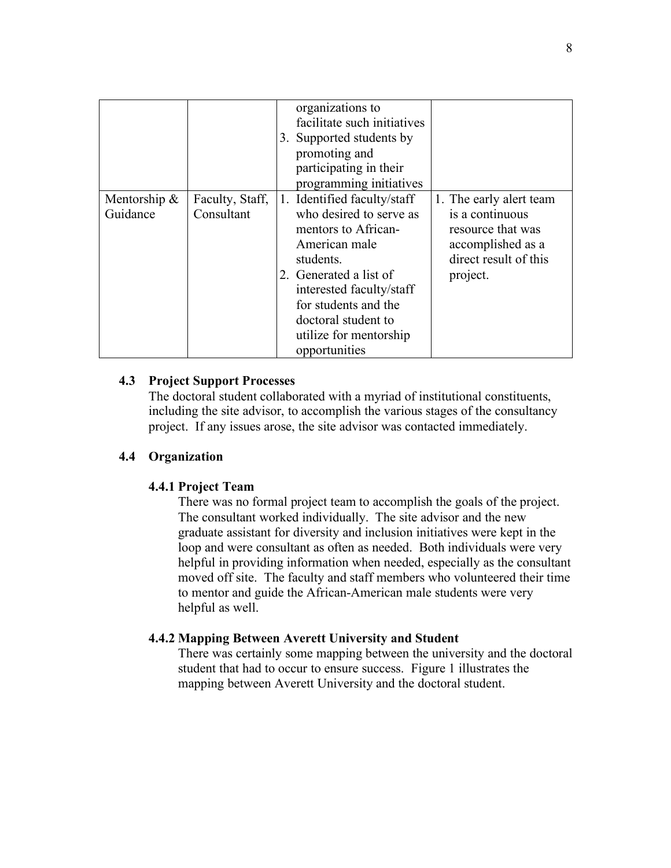|                             |                               | organizations to<br>facilitate such initiatives<br>3. Supported students by<br>promoting and<br>participating in their<br>programming initiatives                                                                                                           |                                                                                                                           |
|-----------------------------|-------------------------------|-------------------------------------------------------------------------------------------------------------------------------------------------------------------------------------------------------------------------------------------------------------|---------------------------------------------------------------------------------------------------------------------------|
| Mentorship $\&$<br>Guidance | Faculty, Staff,<br>Consultant | 1. Identified faculty/staff<br>who desired to serve as<br>mentors to African-<br>American male<br>students.<br>2. Generated a list of<br>interested faculty/staff<br>for students and the<br>doctoral student to<br>utilize for mentorship<br>opportunities | 1. The early alert team<br>is a continuous<br>resource that was<br>accomplished as a<br>direct result of this<br>project. |

### **4.3 Project Support Processes**

The doctoral student collaborated with a myriad of institutional constituents, including the site advisor, to accomplish the various stages of the consultancy project. If any issues arose, the site advisor was contacted immediately.

#### **4.4 Organization**

#### **4.4.1 Project Team**

There was no formal project team to accomplish the goals of the project. The consultant worked individually. The site advisor and the new graduate assistant for diversity and inclusion initiatives were kept in the loop and were consultant as often as needed. Both individuals were very helpful in providing information when needed, especially as the consultant moved off site. The faculty and staff members who volunteered their time to mentor and guide the African-American male students were very helpful as well.

#### **4.4.2 Mapping Between Averett University and Student**

There was certainly some mapping between the university and the doctoral student that had to occur to ensure success. Figure 1 illustrates the mapping between Averett University and the doctoral student.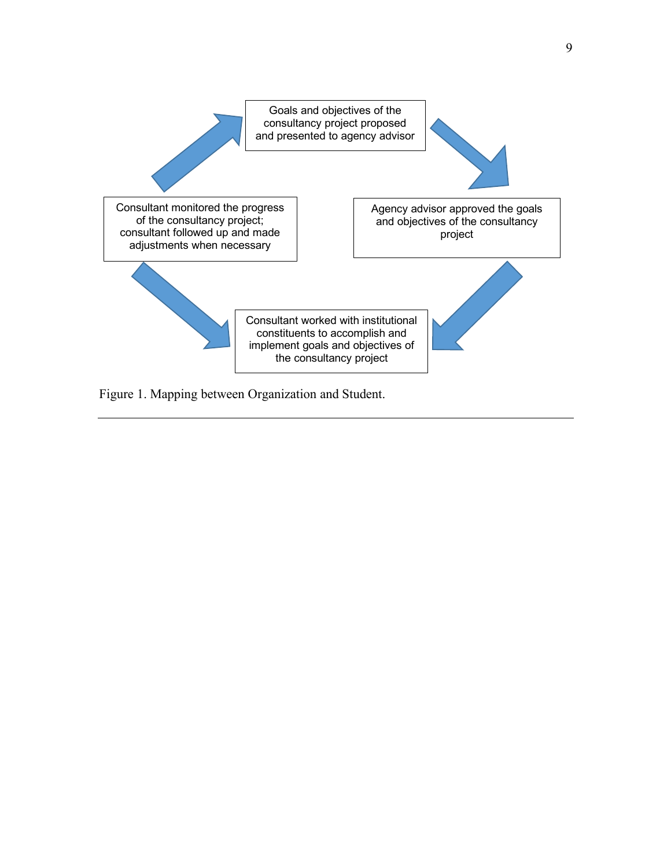

Figure 1. Mapping between Organization and Student.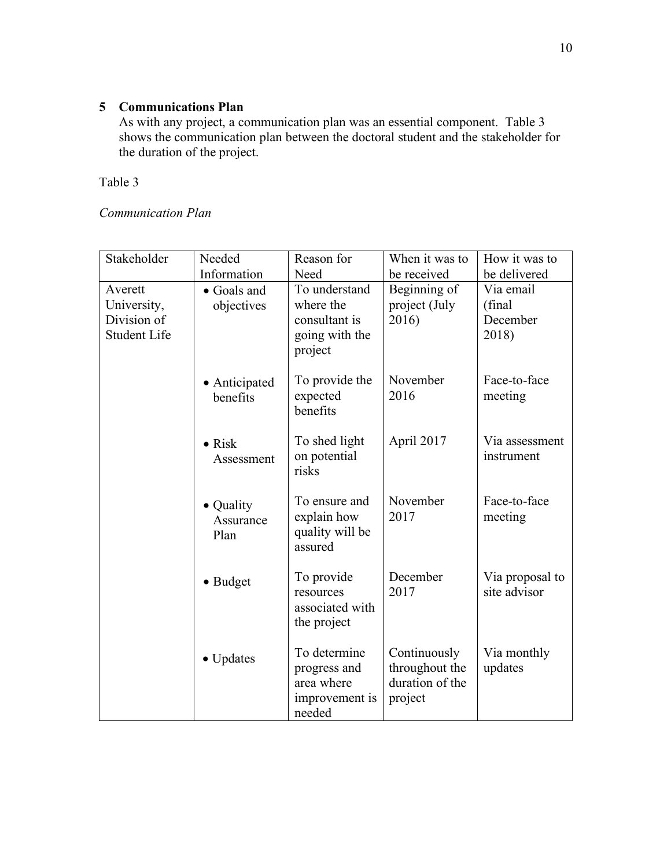## **5 Communications Plan**

As with any project, a communication plan was an essential component. Table 3 shows the communication plan between the doctoral student and the stakeholder for the duration of the project.

Table 3

*Communication Plan*

| Stakeholder         | Needed                 | Reason for                | When it was to  | How it was to   |
|---------------------|------------------------|---------------------------|-----------------|-----------------|
|                     |                        |                           |                 |                 |
|                     | Information            | Need                      | be received     | be delivered    |
| Averett             | • Goals and            | To understand             | Beginning of    | Via email       |
| University,         | objectives             | where the                 | project (July   | (final          |
| Division of         |                        | consultant is             | 2016)           | December        |
| <b>Student Life</b> |                        | going with the<br>project |                 | 2018)           |
|                     |                        |                           |                 |                 |
|                     | • Anticipated          | To provide the            | November        | Face-to-face    |
|                     | benefits               | expected                  | 2016            | meeting         |
|                     |                        | benefits                  |                 |                 |
|                     | $\bullet$ Risk         | To shed light             | April 2017      | Via assessment  |
|                     | Assessment             | on potential              |                 | instrument      |
|                     |                        | risks                     |                 |                 |
|                     |                        | To ensure and             | November        | Face-to-face    |
|                     | • Quality<br>Assurance | explain how               | 2017            | meeting         |
|                     | Plan                   | quality will be           |                 |                 |
|                     |                        | assured                   |                 |                 |
|                     |                        |                           |                 |                 |
|                     | • Budget               | To provide                | December        | Via proposal to |
|                     |                        | resources                 | 2017            | site advisor    |
|                     |                        | associated with           |                 |                 |
|                     |                        | the project               |                 |                 |
|                     |                        | To determine              | Continuously    | Via monthly     |
|                     | $\bullet$ Updates      | progress and              | throughout the  | updates         |
|                     |                        | area where                | duration of the |                 |
|                     |                        |                           |                 |                 |
|                     |                        | improvement is<br>needed  | project         |                 |
|                     |                        |                           |                 |                 |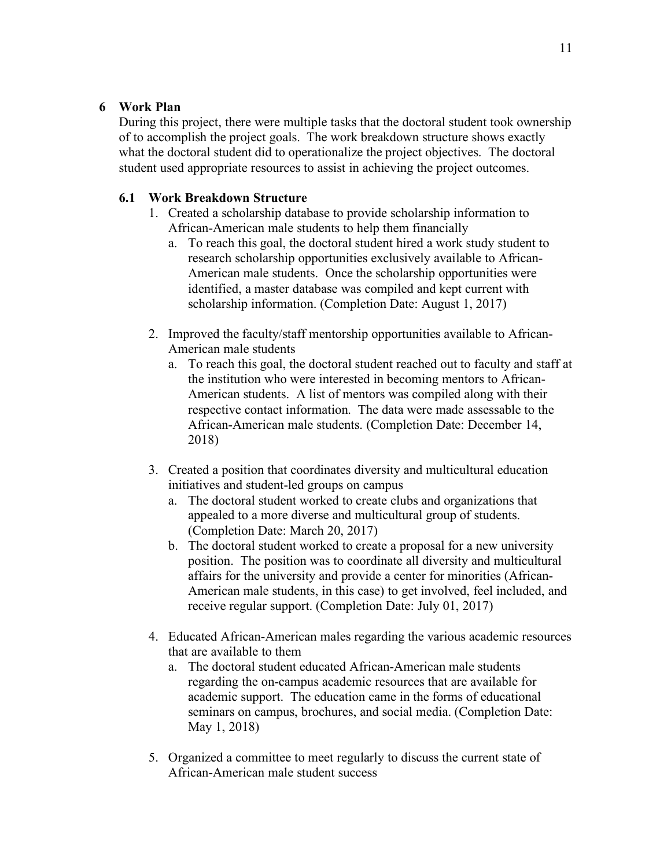## **6 Work Plan**

During this project, there were multiple tasks that the doctoral student took ownership of to accomplish the project goals. The work breakdown structure shows exactly what the doctoral student did to operationalize the project objectives. The doctoral student used appropriate resources to assist in achieving the project outcomes.

## **6.1 Work Breakdown Structure**

- 1. Created a scholarship database to provide scholarship information to African-American male students to help them financially
	- a. To reach this goal, the doctoral student hired a work study student to research scholarship opportunities exclusively available to African-American male students. Once the scholarship opportunities were identified, a master database was compiled and kept current with scholarship information. (Completion Date: August 1, 2017)
- 2. Improved the faculty/staff mentorship opportunities available to African-American male students
	- a. To reach this goal, the doctoral student reached out to faculty and staff at the institution who were interested in becoming mentors to African-American students. A list of mentors was compiled along with their respective contact information. The data were made assessable to the African-American male students. (Completion Date: December 14, 2018)
- 3. Created a position that coordinates diversity and multicultural education initiatives and student-led groups on campus
	- a. The doctoral student worked to create clubs and organizations that appealed to a more diverse and multicultural group of students. (Completion Date: March 20, 2017)
	- b. The doctoral student worked to create a proposal for a new university position. The position was to coordinate all diversity and multicultural affairs for the university and provide a center for minorities (African-American male students, in this case) to get involved, feel included, and receive regular support. (Completion Date: July 01, 2017)
- 4. Educated African-American males regarding the various academic resources that are available to them
	- a. The doctoral student educated African-American male students regarding the on-campus academic resources that are available for academic support. The education came in the forms of educational seminars on campus, brochures, and social media. (Completion Date: May 1, 2018)
- 5. Organized a committee to meet regularly to discuss the current state of African-American male student success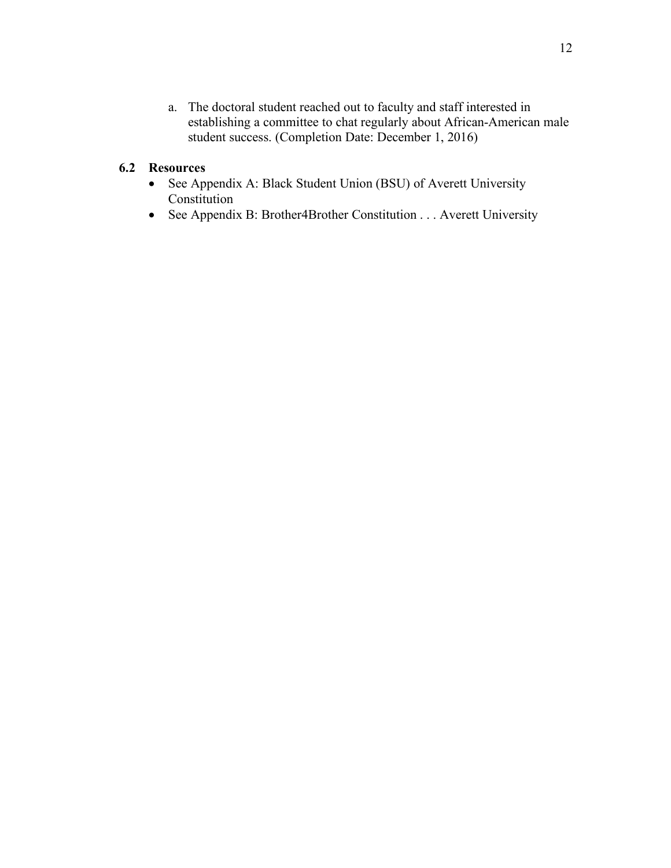a. The doctoral student reached out to faculty and staff interested in establishing a committee to chat regularly about African-American male student success. (Completion Date: December 1, 2016)

### **6.2 Resources**

- See Appendix A: Black Student Union (BSU) of Averett University Constitution
- See Appendix B: Brother4Brother Constitution . . . Averett University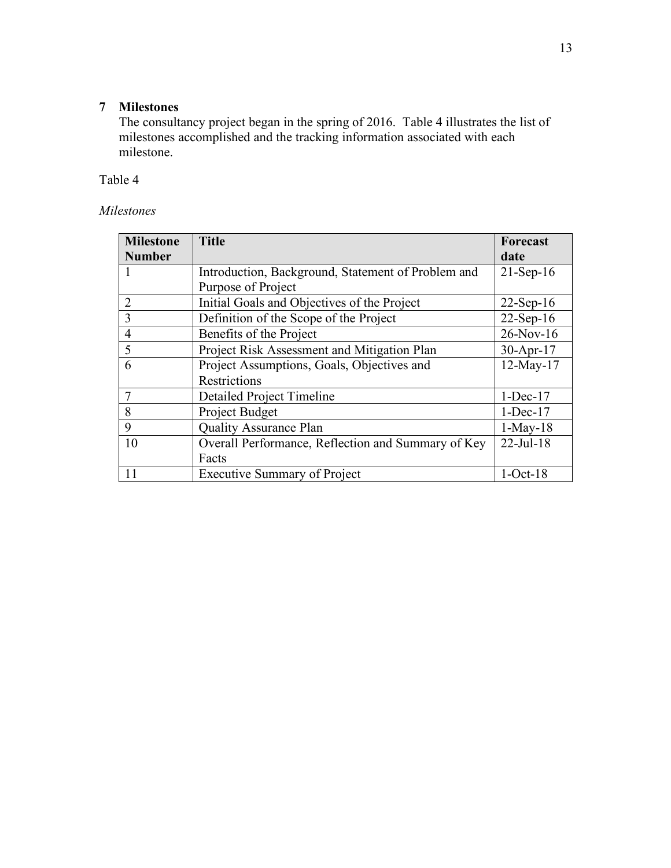## **7 Milestones**

The consultancy project began in the spring of 2016. Table 4 illustrates the list of milestones accomplished and the tracking information associated with each milestone.

Table 4

## *Milestones*

| <b>Milestone</b> | <b>Title</b>                                       | <b>Forecast</b> |
|------------------|----------------------------------------------------|-----------------|
| <b>Number</b>    |                                                    | date            |
|                  | Introduction, Background, Statement of Problem and | $21-Sep-16$     |
|                  | Purpose of Project                                 |                 |
| $\overline{2}$   | Initial Goals and Objectives of the Project        | $22$ -Sep-16    |
| $\overline{3}$   | Definition of the Scope of the Project             | $22-Sep-16$     |
| $\overline{4}$   | Benefits of the Project                            | $26-Nov-16$     |
| 5                | Project Risk Assessment and Mitigation Plan        | $30-Apr-17$     |
| 6                | Project Assumptions, Goals, Objectives and         | $12$ -May- $17$ |
|                  | Restrictions                                       |                 |
| $\overline{7}$   | Detailed Project Timeline                          | $1-Dec-17$      |
| 8                | Project Budget                                     | $1$ -Dec-17     |
| 9                | <b>Quality Assurance Plan</b>                      | $1-May-18$      |
| 10               | Overall Performance, Reflection and Summary of Key | $22$ -Jul-18    |
|                  | Facts                                              |                 |
| 11               | <b>Executive Summary of Project</b>                | $1-Oct-18$      |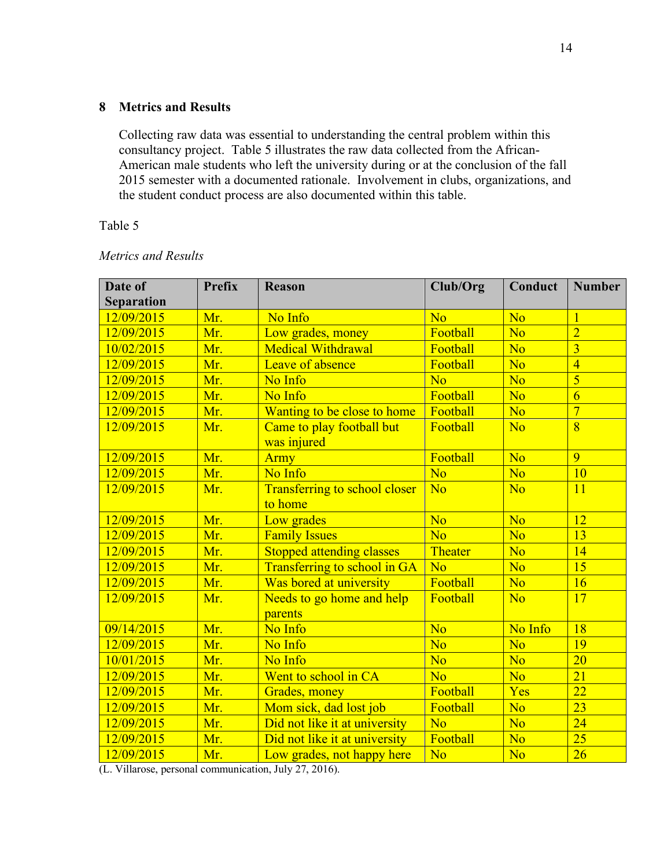## **8 Metrics and Results**

Collecting raw data was essential to understanding the central problem within this consultancy project. Table 5 illustrates the raw data collected from the African-American male students who left the university during or at the conclusion of the fall 2015 semester with a documented rationale. Involvement in clubs, organizations, and the student conduct process are also documented within this table.

### Table 5

| Date of<br><b>Separation</b> | <b>Prefix</b> | <b>Reason</b>                                   | Club/Org       | Conduct        | <b>Number</b>   |
|------------------------------|---------------|-------------------------------------------------|----------------|----------------|-----------------|
| 12/09/2015                   | Mr.           | No Info                                         | No             | N <sub>o</sub> |                 |
| 12/09/2015                   | Mr.           | Low grades, money                               | Football       | N <sub>o</sub> | $\overline{2}$  |
| 10/02/2015                   | Mr.           | <b>Medical Withdrawal</b>                       | Football       | N <sub>o</sub> | $\overline{3}$  |
| 12/09/2015                   | Mr.           | Leave of absence                                | Football       | N <sub>o</sub> | $\overline{4}$  |
| 12/09/2015                   | Mr.           | No Info                                         | N <sub>o</sub> | N <sub>o</sub> | $\overline{5}$  |
| 12/09/2015                   | Mr.           | No Info                                         | Football       | N <sub>o</sub> | $\overline{6}$  |
| 12/09/2015                   | Mr.           | Wanting to be close to home                     | Football       | N <sub>o</sub> | $\overline{7}$  |
| 12/09/2015                   | Mr.           | Came to play football but<br>was injured        | Football       | N <sub>o</sub> | $\overline{8}$  |
| 12/09/2015                   | Mr.           | <b>Army</b>                                     | Football       | N <sub>o</sub> | 9               |
| 12/09/2015                   | Mr.           | No Info                                         | N <sub>o</sub> | N <sub>o</sub> | 10              |
| 12/09/2015                   | Mr.           | <b>Transferring to school closer</b><br>to home | N <sub>o</sub> | N <sub>o</sub> | 11              |
| 12/09/2015                   | Mr.           | Low grades                                      | <b>No</b>      | N <sub>o</sub> | 12              |
| 12/09/2015                   | Mr.           | <b>Family Issues</b>                            | <b>No</b>      | N <sub>o</sub> | 13              |
| 12/09/2015                   | Mr.           | <b>Stopped attending classes</b>                | Theater        | N <sub>o</sub> | 14              |
| 12/09/2015                   | Mr.           | Transferring to school in GA                    | N <sub>0</sub> | N <sub>o</sub> | 15              |
| 12/09/2015                   | Mr.           | Was bored at university                         | Football       | N <sub>o</sub> | 16              |
| 12/09/2015                   | Mr.           | Needs to go home and help<br>parents            | Football       | N <sub>o</sub> | 17              |
| 09/14/2015                   | Mr.           | No Info                                         | N <sub>o</sub> | No Info        | $\overline{18}$ |
| 12/09/2015                   | Mr.           | No Info                                         | No             | N <sub>o</sub> | 19              |
| 10/01/2015                   | Mr.           | No Info                                         | No             | N <sub>o</sub> | $\overline{20}$ |
| 12/09/2015                   | Mr.           | Went to school in CA                            | N <sub>o</sub> | N <sub>o</sub> | $\overline{21}$ |
| 12/09/2015                   | Mr.           | Grades, money                                   | Football       | Yes            | $\overline{22}$ |
| 12/09/2015                   | Mr.           | Mom sick, dad lost job                          | Football       | N <sub>o</sub> | $\overline{23}$ |
| 12/09/2015                   | Mr.           | Did not like it at university                   | N <sub>o</sub> | N <sub>o</sub> | 24              |
| 12/09/2015                   | Mr.           | Did not like it at university                   | Football       | N <sub>o</sub> | 25              |
| 12/09/2015                   | Mr.           | Low grades, not happy here                      | No             | N <sub>o</sub> | 26              |

#### *Metrics and Results*

(L. Villarose, personal communication, July 27, 2016).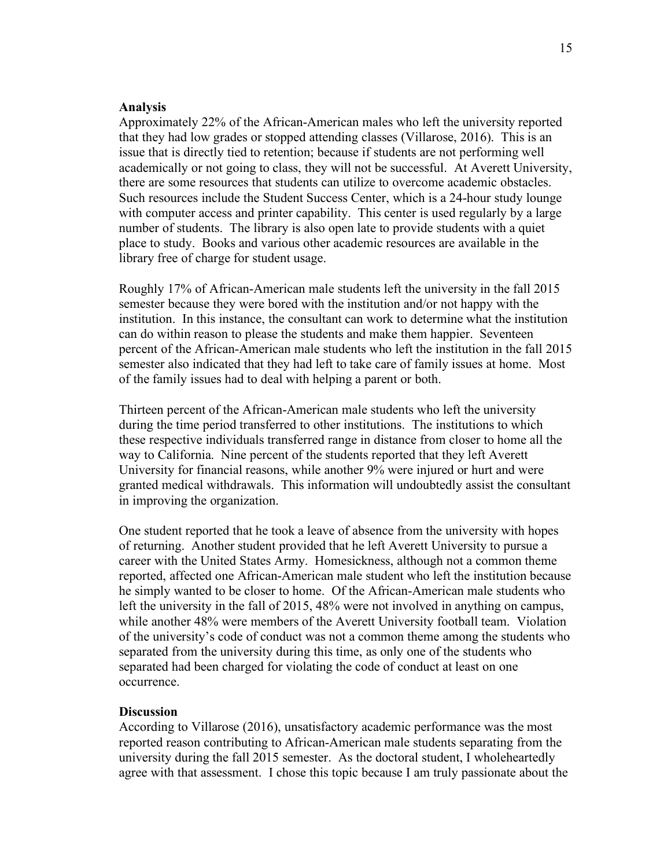#### **Analysis**

Approximately 22% of the African-American males who left the university reported that they had low grades or stopped attending classes (Villarose, 2016). This is an issue that is directly tied to retention; because if students are not performing well academically or not going to class, they will not be successful. At Averett University, there are some resources that students can utilize to overcome academic obstacles. Such resources include the Student Success Center, which is a 24-hour study lounge with computer access and printer capability. This center is used regularly by a large number of students. The library is also open late to provide students with a quiet place to study. Books and various other academic resources are available in the library free of charge for student usage.

Roughly 17% of African-American male students left the university in the fall 2015 semester because they were bored with the institution and/or not happy with the institution. In this instance, the consultant can work to determine what the institution can do within reason to please the students and make them happier. Seventeen percent of the African-American male students who left the institution in the fall 2015 semester also indicated that they had left to take care of family issues at home. Most of the family issues had to deal with helping a parent or both.

Thirteen percent of the African-American male students who left the university during the time period transferred to other institutions. The institutions to which these respective individuals transferred range in distance from closer to home all the way to California. Nine percent of the students reported that they left Averett University for financial reasons, while another 9% were injured or hurt and were granted medical withdrawals. This information will undoubtedly assist the consultant in improving the organization.

One student reported that he took a leave of absence from the university with hopes of returning. Another student provided that he left Averett University to pursue a career with the United States Army. Homesickness, although not a common theme reported, affected one African-American male student who left the institution because he simply wanted to be closer to home. Of the African-American male students who left the university in the fall of 2015, 48% were not involved in anything on campus, while another 48% were members of the Averett University football team. Violation of the university's code of conduct was not a common theme among the students who separated from the university during this time, as only one of the students who separated had been charged for violating the code of conduct at least on one occurrence.

#### **Discussion**

According to Villarose (2016), unsatisfactory academic performance was the most reported reason contributing to African-American male students separating from the university during the fall 2015 semester. As the doctoral student, I wholeheartedly agree with that assessment. I chose this topic because I am truly passionate about the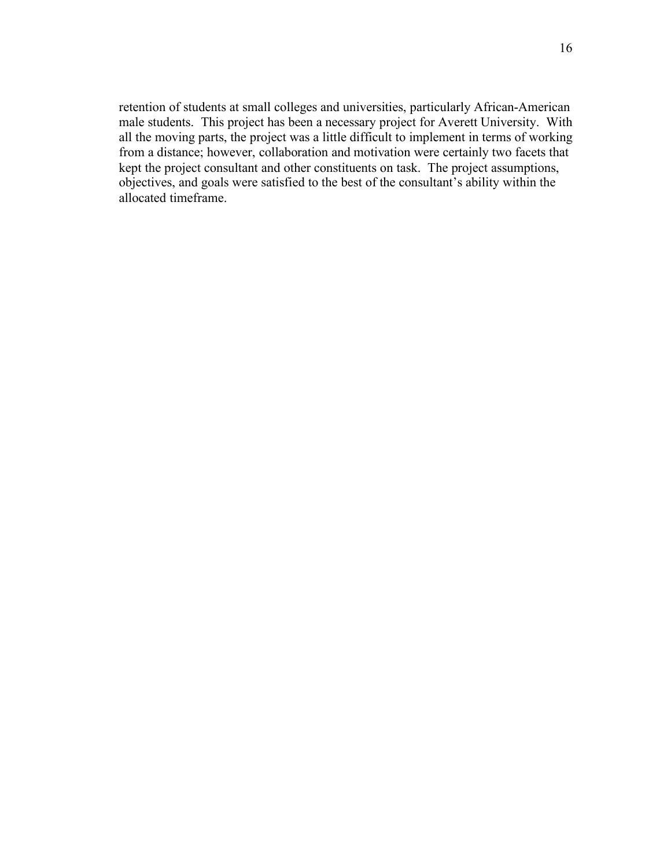retention of students at small colleges and universities, particularly African-American male students. This project has been a necessary project for Averett University. With all the moving parts, the project was a little difficult to implement in terms of working from a distance; however, collaboration and motivation were certainly two facets that kept the project consultant and other constituents on task. The project assumptions, objectives, and goals were satisfied to the best of the consultant's ability within the allocated timeframe.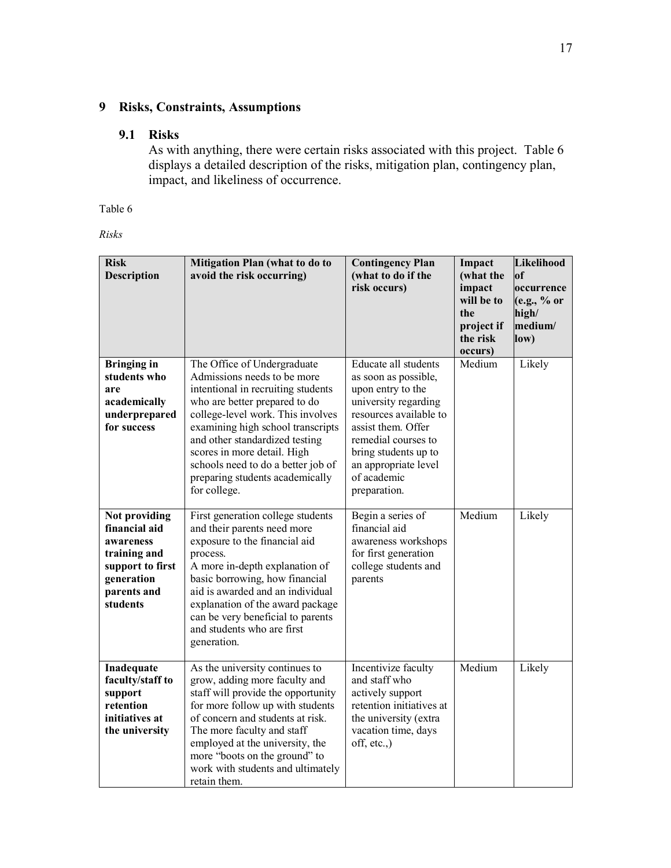## **9 Risks, Constraints, Assumptions**

## **9.1 Risks**

As with anything, there were certain risks associated with this project. Table 6 displays a detailed description of the risks, mitigation plan, contingency plan, impact, and likeliness of occurrence.

Table 6

*Risks*

| <b>Risk</b><br><b>Description</b>                                                                                        | Mitigation Plan (what to do to<br>avoid the risk occurring)                                                                                                                                                                                                                                                                                                           | <b>Contingency Plan</b><br>(what to do if the<br>risk occurs)                                                                                                                                                                                   | Impact<br>(what the<br>impact<br>will be to<br>the<br>project if<br>the risk<br>occurs) | Likelihood<br>of<br>loccurrence<br>(e.g., % or<br>high/<br>medium/<br>low) |
|--------------------------------------------------------------------------------------------------------------------------|-----------------------------------------------------------------------------------------------------------------------------------------------------------------------------------------------------------------------------------------------------------------------------------------------------------------------------------------------------------------------|-------------------------------------------------------------------------------------------------------------------------------------------------------------------------------------------------------------------------------------------------|-----------------------------------------------------------------------------------------|----------------------------------------------------------------------------|
| <b>Bringing in</b><br>students who<br>are<br>academically<br>underprepared<br>for success                                | The Office of Undergraduate<br>Admissions needs to be more<br>intentional in recruiting students<br>who are better prepared to do<br>college-level work. This involves<br>examining high school transcripts<br>and other standardized testing<br>scores in more detail. High<br>schools need to do a better job of<br>preparing students academically<br>for college. | Educate all students<br>as soon as possible,<br>upon entry to the<br>university regarding<br>resources available to<br>assist them. Offer<br>remedial courses to<br>bring students up to<br>an appropriate level<br>of academic<br>preparation. | Medium                                                                                  | Likely                                                                     |
| Not providing<br>financial aid<br>awareness<br>training and<br>support to first<br>generation<br>parents and<br>students | First generation college students<br>and their parents need more<br>exposure to the financial aid<br>process.<br>A more in-depth explanation of<br>basic borrowing, how financial<br>aid is awarded and an individual<br>explanation of the award package<br>can be very beneficial to parents<br>and students who are first<br>generation.                           | Begin a series of<br>financial aid<br>awareness workshops<br>for first generation<br>college students and<br>parents                                                                                                                            | Medium                                                                                  | Likely                                                                     |
| Inadequate<br>faculty/staff to<br>support<br>retention<br>initiatives at<br>the university                               | As the university continues to<br>grow, adding more faculty and<br>staff will provide the opportunity<br>for more follow up with students<br>of concern and students at risk.<br>The more faculty and staff<br>employed at the university, the<br>more "boots on the ground" to<br>work with students and ultimately<br>retain them.                                  | Incentivize faculty<br>and staff who<br>actively support<br>retention initiatives at<br>the university (extra<br>vacation time, days<br>off, etc.,)                                                                                             | Medium                                                                                  | Likely                                                                     |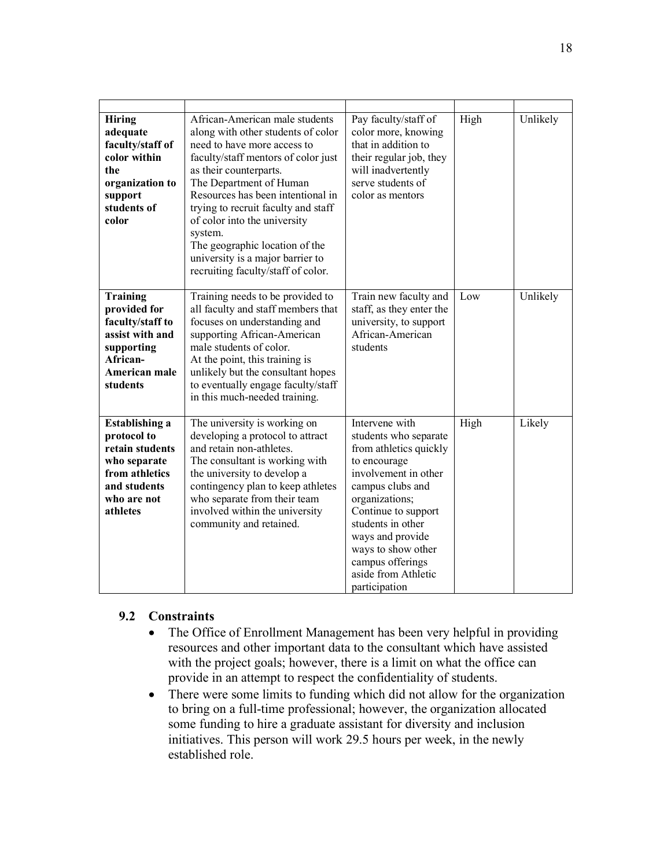| <b>Hiring</b><br>adequate<br>faculty/staff of<br>color within<br>the<br>organization to<br>support<br>students of<br>color           | African-American male students<br>along with other students of color<br>need to have more access to<br>faculty/staff mentors of color just<br>as their counterparts.<br>The Department of Human<br>Resources has been intentional in<br>trying to recruit faculty and staff<br>of color into the university<br>system.<br>The geographic location of the<br>university is a major barrier to<br>recruiting faculty/staff of color. | Pay faculty/staff of<br>color more, knowing<br>that in addition to<br>their regular job, they<br>will inadvertently<br>serve students of<br>color as mentors                                                                                                                                      | High | Unlikely |
|--------------------------------------------------------------------------------------------------------------------------------------|------------------------------------------------------------------------------------------------------------------------------------------------------------------------------------------------------------------------------------------------------------------------------------------------------------------------------------------------------------------------------------------------------------------------------------|---------------------------------------------------------------------------------------------------------------------------------------------------------------------------------------------------------------------------------------------------------------------------------------------------|------|----------|
| Training<br>provided for<br>faculty/staff to<br>assist with and<br>supporting<br>African-<br>American male<br>students               | Training needs to be provided to<br>all faculty and staff members that<br>focuses on understanding and<br>supporting African-American<br>male students of color.<br>At the point, this training is<br>unlikely but the consultant hopes<br>to eventually engage faculty/staff<br>in this much-needed training.                                                                                                                     | Train new faculty and<br>staff, as they enter the<br>university, to support<br>African-American<br>students                                                                                                                                                                                       | Low  | Unlikely |
| <b>Establishing a</b><br>protocol to<br>retain students<br>who separate<br>from athletics<br>and students<br>who are not<br>athletes | The university is working on<br>developing a protocol to attract<br>and retain non-athletes.<br>The consultant is working with<br>the university to develop a<br>contingency plan to keep athletes<br>who separate from their team<br>involved within the university<br>community and retained.                                                                                                                                    | Intervene with<br>students who separate<br>from athletics quickly<br>to encourage<br>involvement in other<br>campus clubs and<br>organizations;<br>Continue to support<br>students in other<br>ways and provide<br>ways to show other<br>campus offerings<br>aside from Athletic<br>participation | High | Likely   |

### **9.2 Constraints**

- The Office of Enrollment Management has been very helpful in providing resources and other important data to the consultant which have assisted with the project goals; however, there is a limit on what the office can provide in an attempt to respect the confidentiality of students.
- There were some limits to funding which did not allow for the organization to bring on a full-time professional; however, the organization allocated some funding to hire a graduate assistant for diversity and inclusion initiatives. This person will work 29.5 hours per week, in the newly established role.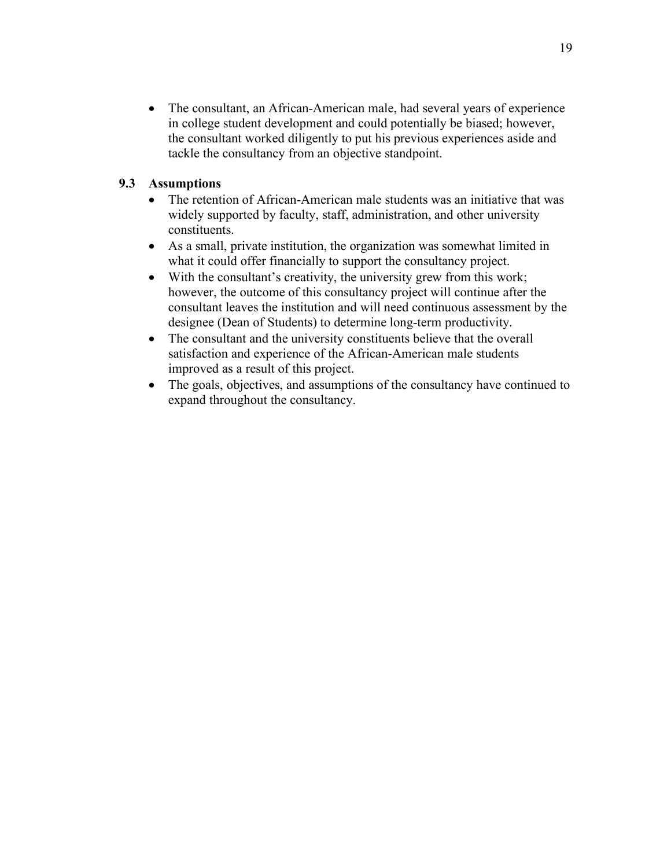• The consultant, an African-American male, had several years of experience in college student development and could potentially be biased; however, the consultant worked diligently to put his previous experiences aside and tackle the consultancy from an objective standpoint.

## **9.3 Assumptions**

- The retention of African-American male students was an initiative that was widely supported by faculty, staff, administration, and other university constituents.
- As a small, private institution, the organization was somewhat limited in what it could offer financially to support the consultancy project.
- With the consultant's creativity, the university grew from this work; however, the outcome of this consultancy project will continue after the consultant leaves the institution and will need continuous assessment by the designee (Dean of Students) to determine long-term productivity.
- The consultant and the university constituents believe that the overall satisfaction and experience of the African-American male students improved as a result of this project.
- The goals, objectives, and assumptions of the consultancy have continued to expand throughout the consultancy.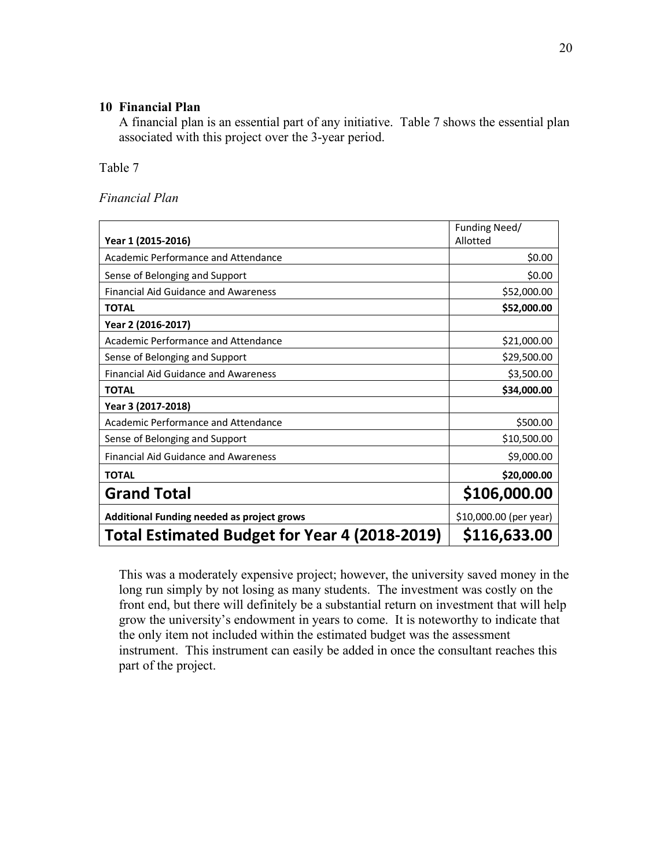### **10 Financial Plan**

A financial plan is an essential part of any initiative. Table 7 shows the essential plan associated with this project over the 3-year period.

Table 7

*Financial Plan*

|                                                      | Funding Need/          |
|------------------------------------------------------|------------------------|
| Year 1 (2015-2016)                                   | Allotted               |
| Academic Performance and Attendance                  | \$0.00                 |
| Sense of Belonging and Support                       | \$0.00                 |
| Financial Aid Guidance and Awareness                 | \$52,000.00            |
| <b>TOTAL</b>                                         | \$52,000.00            |
| Year 2 (2016-2017)                                   |                        |
| Academic Performance and Attendance                  | \$21,000.00            |
| Sense of Belonging and Support                       | \$29,500.00            |
| <b>Financial Aid Guidance and Awareness</b>          | \$3,500.00             |
| <b>TOTAL</b>                                         | \$34,000.00            |
| Year 3 (2017-2018)                                   |                        |
| Academic Performance and Attendance                  | \$500.00               |
| Sense of Belonging and Support                       | \$10,500.00            |
| <b>Financial Aid Guidance and Awareness</b>          | \$9,000.00             |
| <b>TOTAL</b>                                         | \$20,000.00            |
| <b>Grand Total</b>                                   | \$106,000.00           |
| Additional Funding needed as project grows           | \$10,000.00 (per year) |
| <b>Total Estimated Budget for Year 4 (2018-2019)</b> | \$116,633.00           |

This was a moderately expensive project; however, the university saved money in the long run simply by not losing as many students. The investment was costly on the front end, but there will definitely be a substantial return on investment that will help grow the university's endowment in years to come. It is noteworthy to indicate that the only item not included within the estimated budget was the assessment instrument. This instrument can easily be added in once the consultant reaches this part of the project.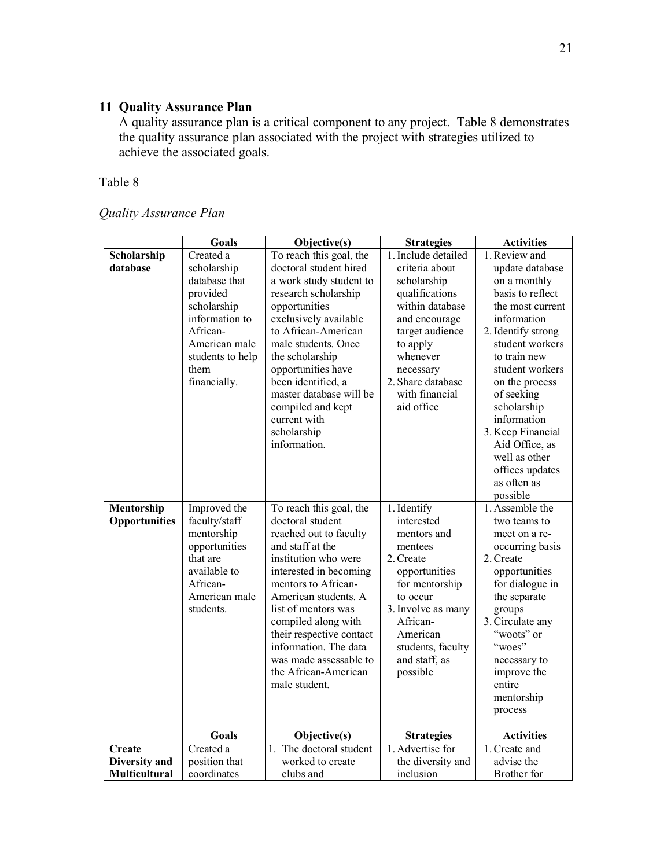## **11 Quality Assurance Plan**

A quality assurance plan is a critical component to any project. Table 8 demonstrates the quality assurance plan associated with the project with strategies utilized to achieve the associated goals.

Table 8

*Quality Assurance Plan*

|                                          | Goals                                                                                                                                                                           | Objective(s)                                                                                                                                                                                                                                                                                                                                                                          | <b>Strategies</b>                                                                                                                                                                                                                      | <b>Activities</b>                                                                                                                                                                                                                                                                                                                                                          |
|------------------------------------------|---------------------------------------------------------------------------------------------------------------------------------------------------------------------------------|---------------------------------------------------------------------------------------------------------------------------------------------------------------------------------------------------------------------------------------------------------------------------------------------------------------------------------------------------------------------------------------|----------------------------------------------------------------------------------------------------------------------------------------------------------------------------------------------------------------------------------------|----------------------------------------------------------------------------------------------------------------------------------------------------------------------------------------------------------------------------------------------------------------------------------------------------------------------------------------------------------------------------|
| Scholarship<br>database<br>Mentorship    | Created a<br>scholarship<br>database that<br>provided<br>scholarship<br>information to<br>African-<br>American male<br>students to help<br>them<br>financially.<br>Improved the | To reach this goal, the<br>doctoral student hired<br>a work study student to<br>research scholarship<br>opportunities<br>exclusively available<br>to African-American<br>male students. Once<br>the scholarship<br>opportunities have<br>been identified, a<br>master database will be<br>compiled and kept<br>current with<br>scholarship<br>information.<br>To reach this goal, the | 1. Include detailed<br>criteria about<br>scholarship<br>qualifications<br>within database<br>and encourage<br>target audience<br>to apply<br>whenever<br>necessary<br>2. Share database<br>with financial<br>aid office<br>1. Identify | 1. Review and<br>update database<br>on a monthly<br>basis to reflect<br>the most current<br>information<br>2. Identify strong<br>student workers<br>to train new<br>student workers<br>on the process<br>of seeking<br>scholarship<br>information<br>3. Keep Financial<br>Aid Office, as<br>well as other<br>offices updates<br>as often as<br>possible<br>1. Assemble the |
| <b>Opportunities</b>                     | faculty/staff<br>mentorship<br>opportunities<br>that are<br>available to<br>African-<br>American male<br>students.                                                              | doctoral student<br>reached out to faculty<br>and staff at the<br>institution who were<br>interested in becoming<br>mentors to African-<br>American students. A<br>list of mentors was<br>compiled along with<br>their respective contact<br>information. The data<br>was made assessable to<br>the African-American<br>male student.                                                 | interested<br>mentors and<br>mentees<br>2. Create<br>opportunities<br>for mentorship<br>to occur<br>3. Involve as many<br>African-<br>American<br>students, faculty<br>and staff, as<br>possible                                       | two teams to<br>meet on a re-<br>occurring basis<br>2. Create<br>opportunities<br>for dialogue in<br>the separate<br>groups<br>3. Circulate any<br>"woots" or<br>"woes"<br>necessary to<br>improve the<br>entire<br>mentorship<br>process                                                                                                                                  |
|                                          | <b>Goals</b>                                                                                                                                                                    | Objective(s)                                                                                                                                                                                                                                                                                                                                                                          | <b>Strategies</b>                                                                                                                                                                                                                      | <b>Activities</b>                                                                                                                                                                                                                                                                                                                                                          |
| Create<br>Diversity and<br>Multicultural | $\overline{C}$ reated a<br>position that<br>coordinates                                                                                                                         | The doctoral student<br>$\mathbf{1}$<br>worked to create<br>clubs and                                                                                                                                                                                                                                                                                                                 | 1. Advertise for<br>the diversity and<br>inclusion                                                                                                                                                                                     | 1. Create and<br>advise the<br>Brother for                                                                                                                                                                                                                                                                                                                                 |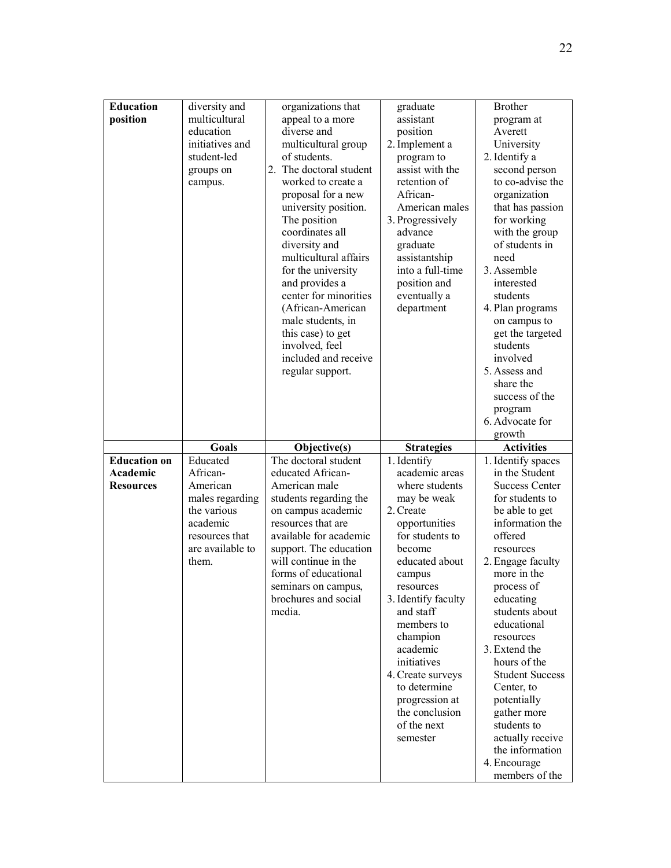| <b>Education</b><br>position | diversity and<br>multicultural<br>education<br>initiatives and<br>student-led<br>groups on<br>campus. | organizations that<br>appeal to a more<br>diverse and<br>multicultural group<br>of students.<br>2. The doctoral student<br>worked to create a<br>proposal for a new                                                                                                                             | graduate<br>assistant<br>position<br>2. Implement a<br>program to<br>assist with the<br>retention of<br>African-                             | <b>Brother</b><br>program at<br>Averett<br>University<br>2. Identify a<br>second person<br>to co-advise the<br>organization                                                                                                                                                                  |
|------------------------------|-------------------------------------------------------------------------------------------------------|-------------------------------------------------------------------------------------------------------------------------------------------------------------------------------------------------------------------------------------------------------------------------------------------------|----------------------------------------------------------------------------------------------------------------------------------------------|----------------------------------------------------------------------------------------------------------------------------------------------------------------------------------------------------------------------------------------------------------------------------------------------|
|                              |                                                                                                       | university position.<br>The position<br>coordinates all<br>diversity and<br>multicultural affairs<br>for the university<br>and provides a<br>center for minorities<br>(African-American<br>male students, in<br>this case) to get<br>involved, feel<br>included and receive<br>regular support. | American males<br>3. Progressively<br>advance<br>graduate<br>assistantship<br>into a full-time<br>position and<br>eventually a<br>department | that has passion<br>for working<br>with the group<br>of students in<br>need<br>3. Assemble<br>interested<br>students<br>4. Plan programs<br>on campus to<br>get the targeted<br>students<br>involved<br>5. Assess and<br>share the<br>success of the<br>program<br>6. Advocate for<br>growth |
|                              |                                                                                                       |                                                                                                                                                                                                                                                                                                 |                                                                                                                                              |                                                                                                                                                                                                                                                                                              |
|                              |                                                                                                       |                                                                                                                                                                                                                                                                                                 |                                                                                                                                              |                                                                                                                                                                                                                                                                                              |
|                              | Goals                                                                                                 | Objective(s)                                                                                                                                                                                                                                                                                    | <b>Strategies</b>                                                                                                                            | <b>Activities</b>                                                                                                                                                                                                                                                                            |
| <b>Education on</b>          | Educated                                                                                              | The doctoral student                                                                                                                                                                                                                                                                            | 1. Identify                                                                                                                                  | 1. Identify spaces                                                                                                                                                                                                                                                                           |
| Academic                     | African-                                                                                              | educated African-                                                                                                                                                                                                                                                                               | academic areas                                                                                                                               | in the Student                                                                                                                                                                                                                                                                               |
| <b>Resources</b>             | American                                                                                              | American male                                                                                                                                                                                                                                                                                   | where students                                                                                                                               | <b>Success Center</b>                                                                                                                                                                                                                                                                        |
|                              | males regarding                                                                                       | students regarding the                                                                                                                                                                                                                                                                          | may be weak<br>2. Create                                                                                                                     | for students to                                                                                                                                                                                                                                                                              |
|                              | the various<br>academic                                                                               | on campus academic<br>resources that are                                                                                                                                                                                                                                                        |                                                                                                                                              | be able to get<br>information the                                                                                                                                                                                                                                                            |
|                              | resources that                                                                                        | available for academic                                                                                                                                                                                                                                                                          | opportunities<br>for students to                                                                                                             | offered                                                                                                                                                                                                                                                                                      |
|                              | are available to                                                                                      | support. The education                                                                                                                                                                                                                                                                          | become                                                                                                                                       | resources                                                                                                                                                                                                                                                                                    |
|                              | them.                                                                                                 | will continue in the                                                                                                                                                                                                                                                                            | educated about                                                                                                                               | 2. Engage faculty                                                                                                                                                                                                                                                                            |
|                              |                                                                                                       | forms of educational                                                                                                                                                                                                                                                                            | campus                                                                                                                                       | more in the                                                                                                                                                                                                                                                                                  |
|                              |                                                                                                       | seminars on campus,                                                                                                                                                                                                                                                                             | resources                                                                                                                                    | process of                                                                                                                                                                                                                                                                                   |
|                              |                                                                                                       | brochures and social<br>media.                                                                                                                                                                                                                                                                  | 3. Identify faculty<br>and staff                                                                                                             | educating<br>students about                                                                                                                                                                                                                                                                  |
|                              |                                                                                                       |                                                                                                                                                                                                                                                                                                 | members to                                                                                                                                   | educational                                                                                                                                                                                                                                                                                  |
|                              |                                                                                                       |                                                                                                                                                                                                                                                                                                 | champion                                                                                                                                     | resources                                                                                                                                                                                                                                                                                    |
|                              |                                                                                                       |                                                                                                                                                                                                                                                                                                 | academic                                                                                                                                     | 3. Extend the                                                                                                                                                                                                                                                                                |
|                              |                                                                                                       |                                                                                                                                                                                                                                                                                                 | initiatives                                                                                                                                  | hours of the                                                                                                                                                                                                                                                                                 |
|                              |                                                                                                       |                                                                                                                                                                                                                                                                                                 | 4. Create surveys                                                                                                                            | <b>Student Success</b>                                                                                                                                                                                                                                                                       |
|                              |                                                                                                       |                                                                                                                                                                                                                                                                                                 | to determine<br>progression at                                                                                                               | Center, to<br>potentially                                                                                                                                                                                                                                                                    |
|                              |                                                                                                       |                                                                                                                                                                                                                                                                                                 | the conclusion                                                                                                                               | gather more                                                                                                                                                                                                                                                                                  |
|                              |                                                                                                       |                                                                                                                                                                                                                                                                                                 | of the next                                                                                                                                  | students to                                                                                                                                                                                                                                                                                  |
|                              |                                                                                                       |                                                                                                                                                                                                                                                                                                 | semester                                                                                                                                     | actually receive                                                                                                                                                                                                                                                                             |
|                              |                                                                                                       |                                                                                                                                                                                                                                                                                                 |                                                                                                                                              | the information<br>4. Encourage                                                                                                                                                                                                                                                              |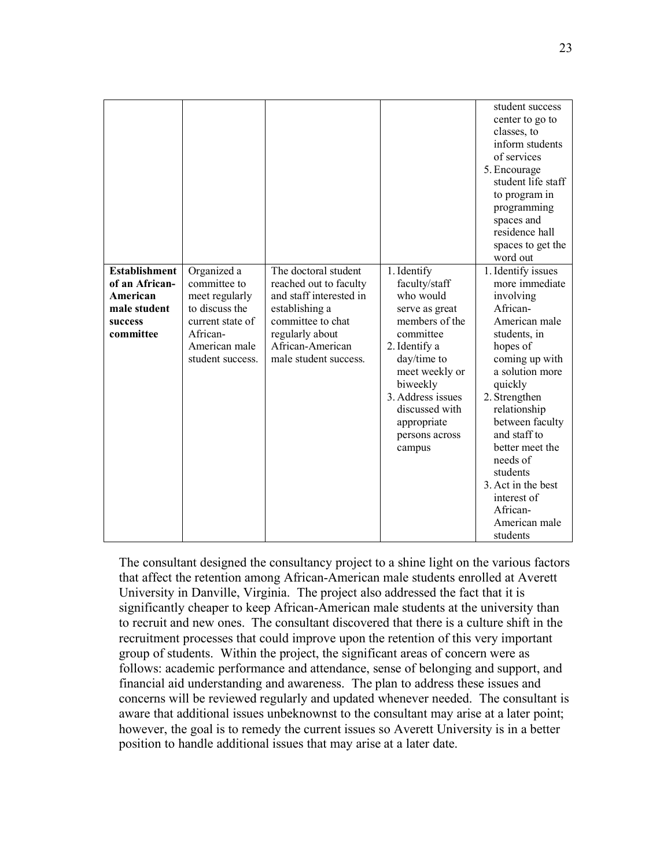|                                                                                            |                                                                                                                                      |                                                                                                                                                                                  |                                                                                                                                                                                                                                            | student success<br>center to go to<br>classes, to<br>inform students<br>of services<br>5. Encourage<br>student life staff<br>to program in<br>programming<br>spaces and<br>residence hall<br>spaces to get the<br>word out                                                                                                                              |
|--------------------------------------------------------------------------------------------|--------------------------------------------------------------------------------------------------------------------------------------|----------------------------------------------------------------------------------------------------------------------------------------------------------------------------------|--------------------------------------------------------------------------------------------------------------------------------------------------------------------------------------------------------------------------------------------|---------------------------------------------------------------------------------------------------------------------------------------------------------------------------------------------------------------------------------------------------------------------------------------------------------------------------------------------------------|
| <b>Establishment</b><br>of an African-<br>American<br>male student<br>success<br>committee | Organized a<br>committee to<br>meet regularly<br>to discuss the<br>current state of<br>African-<br>American male<br>student success. | The doctoral student<br>reached out to faculty<br>and staff interested in<br>establishing a<br>committee to chat<br>regularly about<br>African-American<br>male student success. | 1. Identify<br>faculty/staff<br>who would<br>serve as great<br>members of the<br>committee<br>2. Identify a<br>day/time to<br>meet weekly or<br>biweekly<br>3. Address issues<br>discussed with<br>appropriate<br>persons across<br>campus | 1. Identify issues<br>more immediate<br>involving<br>African-<br>American male<br>students, in<br>hopes of<br>coming up with<br>a solution more<br>quickly<br>2. Strengthen<br>relationship<br>between faculty<br>and staff to<br>better meet the<br>needs of<br>students<br>3. Act in the best<br>interest of<br>African-<br>American male<br>students |

The consultant designed the consultancy project to a shine light on the various factors that affect the retention among African-American male students enrolled at Averett University in Danville, Virginia. The project also addressed the fact that it is significantly cheaper to keep African-American male students at the university than to recruit and new ones. The consultant discovered that there is a culture shift in the recruitment processes that could improve upon the retention of this very important group of students. Within the project, the significant areas of concern were as follows: academic performance and attendance, sense of belonging and support, and financial aid understanding and awareness. The plan to address these issues and concerns will be reviewed regularly and updated whenever needed. The consultant is aware that additional issues unbeknownst to the consultant may arise at a later point; however, the goal is to remedy the current issues so Averett University is in a better position to handle additional issues that may arise at a later date.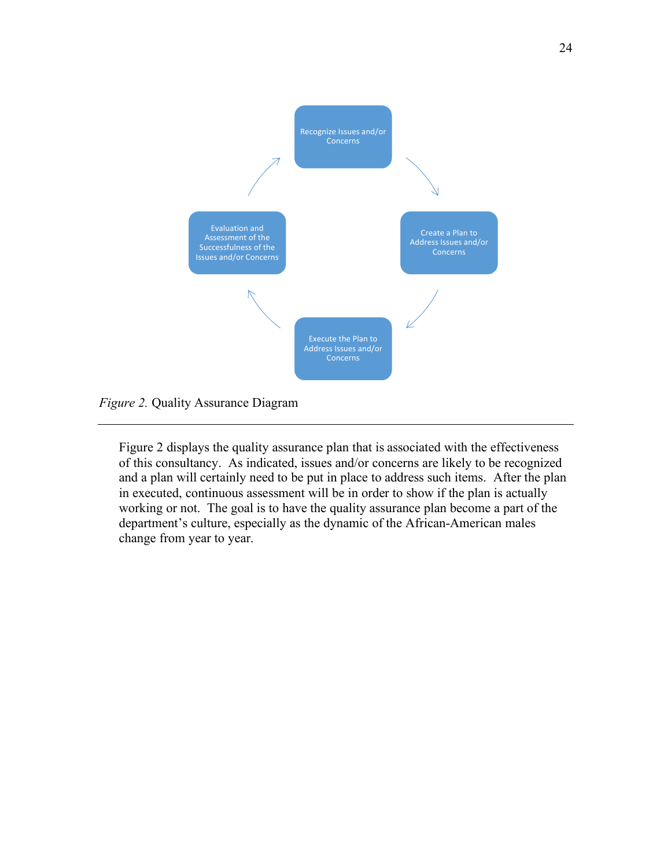

*Figure 2.* Quality Assurance Diagram

Figure 2 displays the quality assurance plan that is associated with the effectiveness of this consultancy. As indicated, issues and/or concerns are likely to be recognized and a plan will certainly need to be put in place to address such items. After the plan in executed, continuous assessment will be in order to show if the plan is actually working or not. The goal is to have the quality assurance plan become a part of the department's culture, especially as the dynamic of the African-American males change from year to year.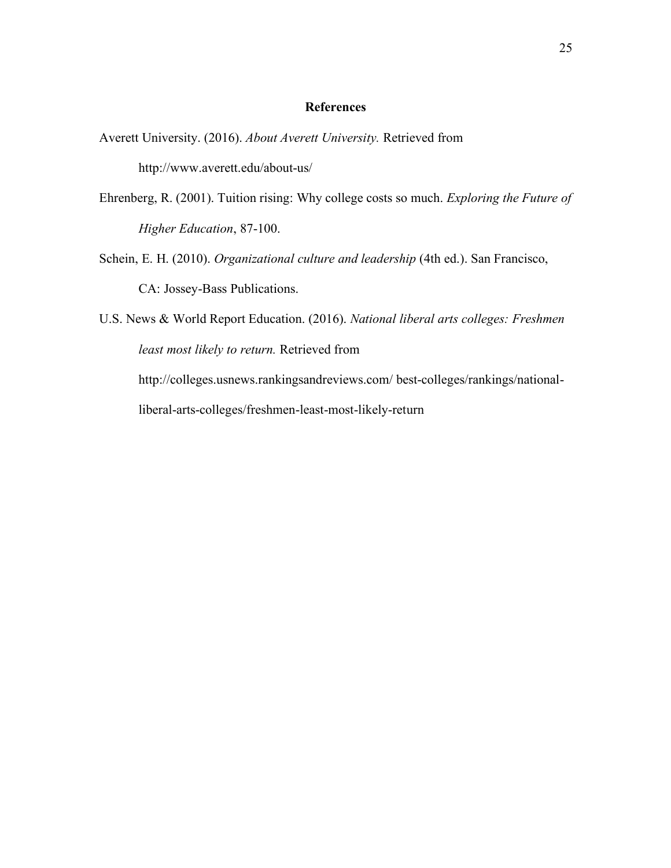#### **References**

- Averett University. (2016). *About Averett University.* Retrieved from http://www.averett.edu/about-us/
- Ehrenberg, R. (2001). Tuition rising: Why college costs so much. *Exploring the Future of Higher Education*, 87-100.
- Schein, E. H. (2010). *Organizational culture and leadership* (4th ed.). San Francisco, CA: Jossey-Bass Publications.
- U.S. News & World Report Education. (2016). *National liberal arts colleges: Freshmen least most likely to return.* Retrieved from http://colleges.usnews.rankingsandreviews.com/ best-colleges/rankings/nationalliberal-arts-colleges/freshmen-least-most-likely-return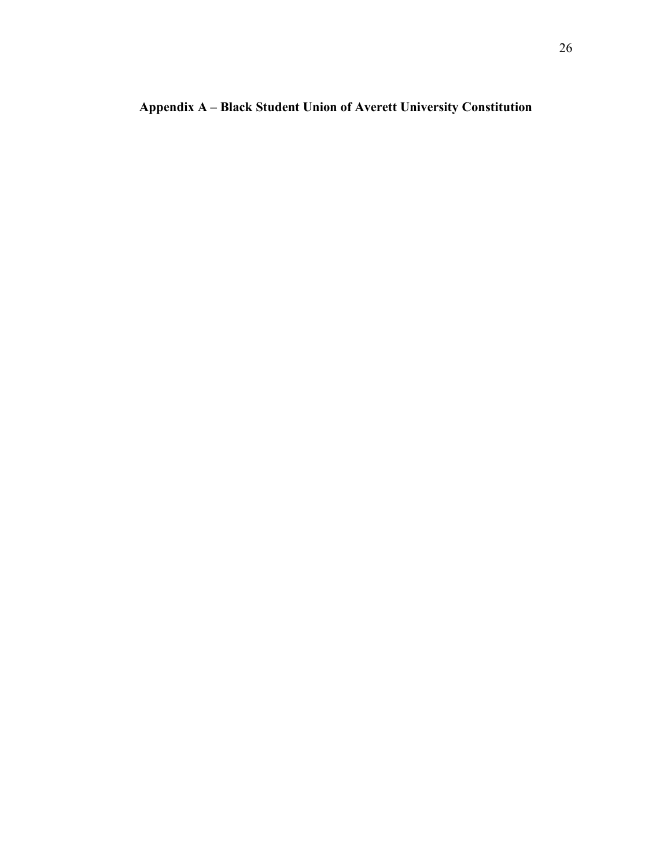**Appendix A – Black Student Union of Averett University Constitution**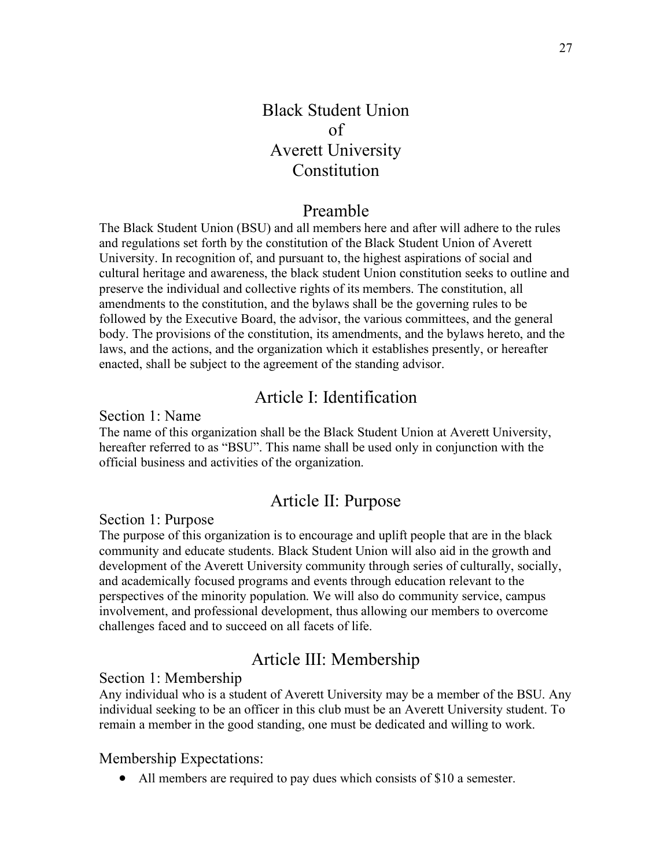## Black Student Union of Averett University Constitution

## Preamble

The Black Student Union (BSU) and all members here and after will adhere to the rules and regulations set forth by the constitution of the Black Student Union of Averett University. In recognition of, and pursuant to, the highest aspirations of social and cultural heritage and awareness, the black student Union constitution seeks to outline and preserve the individual and collective rights of its members. The constitution, all amendments to the constitution, and the bylaws shall be the governing rules to be followed by the Executive Board, the advisor, the various committees, and the general body. The provisions of the constitution, its amendments, and the bylaws hereto, and the laws, and the actions, and the organization which it establishes presently, or hereafter enacted, shall be subject to the agreement of the standing advisor.

## Article I: Identification

Section 1: Name

The name of this organization shall be the Black Student Union at Averett University, hereafter referred to as "BSU". This name shall be used only in conjunction with the official business and activities of the organization.

## Article II: Purpose

Section 1: Purpose

The purpose of this organization is to encourage and uplift people that are in the black community and educate students. Black Student Union will also aid in the growth and development of the Averett University community through series of culturally, socially, and academically focused programs and events through education relevant to the perspectives of the minority population. We will also do community service, campus involvement, and professional development, thus allowing our members to overcome challenges faced and to succeed on all facets of life.

## Article III: Membership

### Section 1: Membership

Any individual who is a student of Averett University may be a member of the BSU. Any individual seeking to be an officer in this club must be an Averett University student. To remain a member in the good standing, one must be dedicated and willing to work.

### Membership Expectations:

• All members are required to pay dues which consists of \$10 a semester.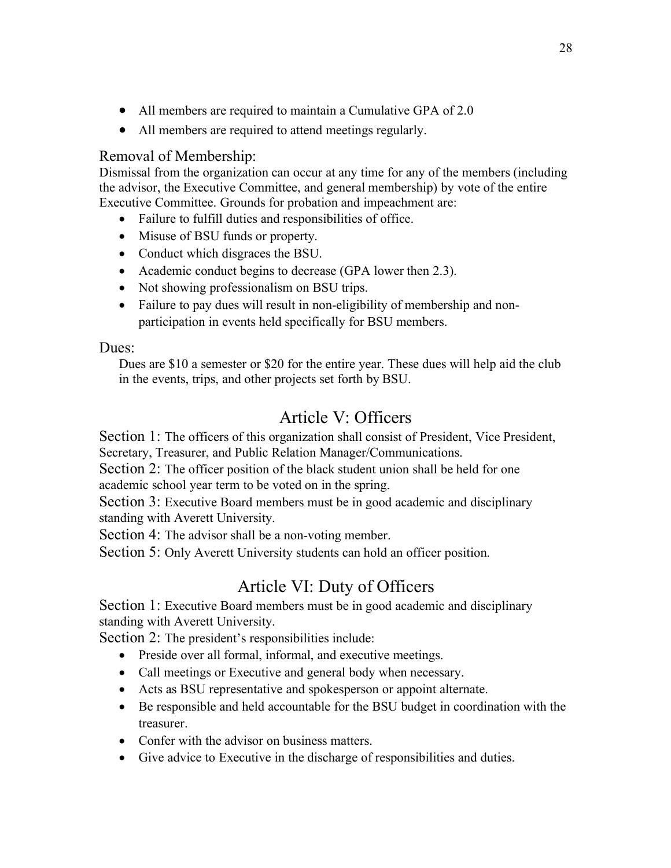- All members are required to maintain a Cumulative GPA of 2.0
- All members are required to attend meetings regularly.

## Removal of Membership:

Dismissal from the organization can occur at any time for any of the members (including the advisor, the Executive Committee, and general membership) by vote of the entire Executive Committee. Grounds for probation and impeachment are:

- Failure to fulfill duties and responsibilities of office.
- Misuse of BSU funds or property.
- Conduct which disgraces the BSU.
- Academic conduct begins to decrease (GPA lower then 2.3).
- Not showing professionalism on BSU trips.
- Failure to pay dues will result in non-eligibility of membership and nonparticipation in events held specifically for BSU members.

## Dues:

Dues are \$10 a semester or \$20 for the entire year. These dues will help aid the club in the events, trips, and other projects set forth by BSU.

## Article V: Officers

Section 1: The officers of this organization shall consist of President, Vice President, Secretary, Treasurer, and Public Relation Manager/Communications.

Section 2: The officer position of the black student union shall be held for one academic school year term to be voted on in the spring.

Section 3: Executive Board members must be in good academic and disciplinary standing with Averett University.

Section 4: The advisor shall be a non-voting member.

Section 5: Only Averett University students can hold an officer position.

## Article VI: Duty of Officers

Section 1: Executive Board members must be in good academic and disciplinary standing with Averett University.

Section 2: The president's responsibilities include:

- Preside over all formal, informal, and executive meetings.
- Call meetings or Executive and general body when necessary.
- Acts as BSU representative and spokesperson or appoint alternate.
- Be responsible and held accountable for the BSU budget in coordination with the treasurer.
- Confer with the advisor on business matters.
- Give advice to Executive in the discharge of responsibilities and duties.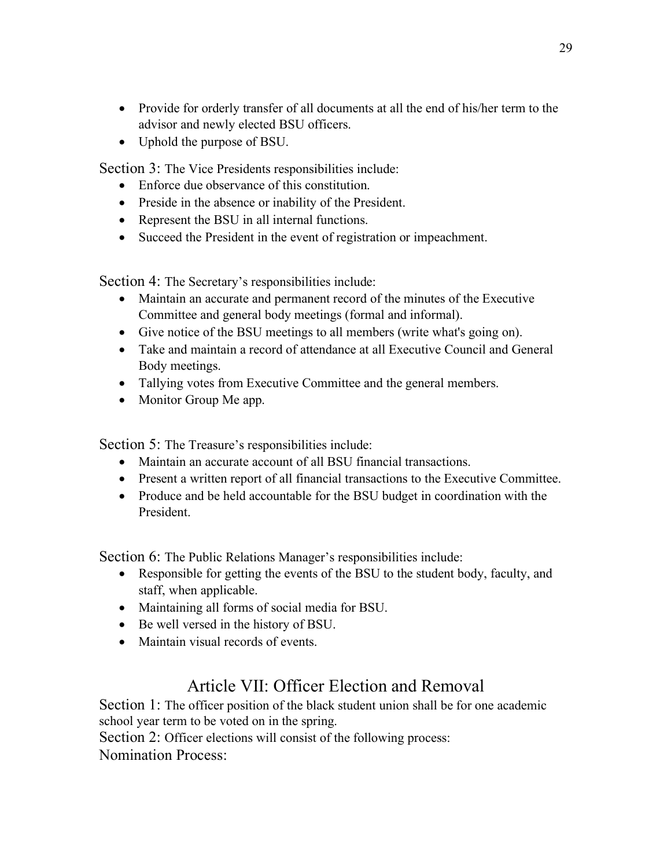- Provide for orderly transfer of all documents at all the end of his/her term to the advisor and newly elected BSU officers.
- Uphold the purpose of BSU.

Section 3: The Vice Presidents responsibilities include:

- Enforce due observance of this constitution.
- Preside in the absence or inability of the President.
- Represent the BSU in all internal functions.
- Succeed the President in the event of registration or impeachment.

Section 4: The Secretary's responsibilities include:

- Maintain an accurate and permanent record of the minutes of the Executive Committee and general body meetings (formal and informal).
- Give notice of the BSU meetings to all members (write what's going on).
- Take and maintain a record of attendance at all Executive Council and General Body meetings.
- Tallying votes from Executive Committee and the general members.
- Monitor Group Me app.

Section 5: The Treasure's responsibilities include:

- Maintain an accurate account of all BSU financial transactions.
- Present a written report of all financial transactions to the Executive Committee.
- Produce and be held accountable for the BSU budget in coordination with the President.

Section 6: The Public Relations Manager's responsibilities include:

- Responsible for getting the events of the BSU to the student body, faculty, and staff, when applicable.
- Maintaining all forms of social media for BSU.
- Be well versed in the history of BSU.
- Maintain visual records of events.

## Article VII: Officer Election and Removal

Section 1: The officer position of the black student union shall be for one academic school year term to be voted on in the spring.

Section 2: Officer elections will consist of the following process:

Nomination Process: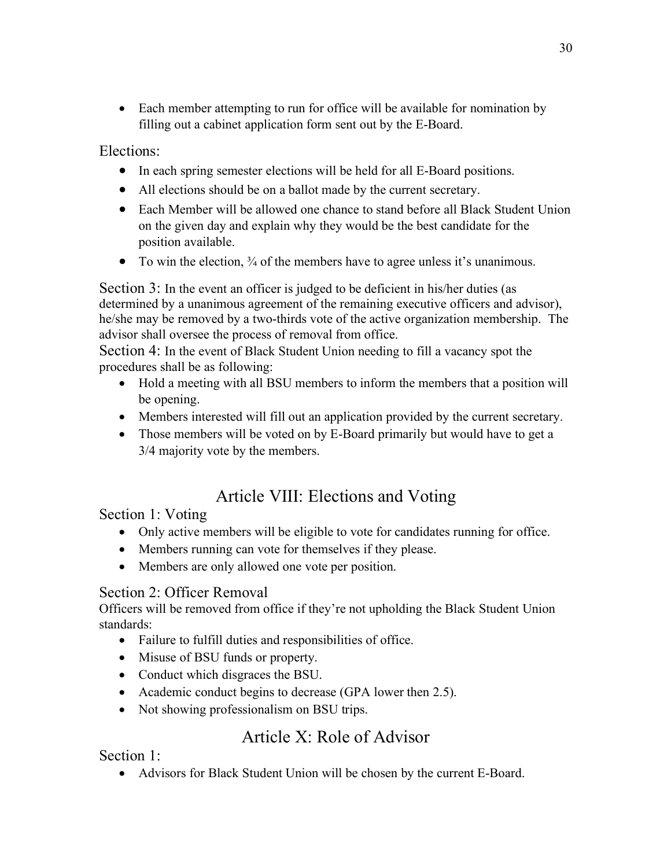• Each member attempting to run for office will be available for nomination by filling out a cabinet application form sent out by the E-Board.

Elections:

- In each spring semester elections will be held for all E-Board positions.
- All elections should be on a ballot made by the current secretary.
- Each Member will be allowed one chance to stand before all Black Student Union on the given day and explain why they would be the best candidate for the position available.
- To win the election,  $\frac{3}{4}$  of the members have to agree unless it's unanimous.

Section 3: In the event an officer is judged to be deficient in his/her duties (as determined by a unanimous agreement of the remaining executive officers and advisor), he/she may be removed by a two-thirds vote of the active organization membership. The advisor shall oversee the process of removal from office.

Section 4: In the event of Black Student Union needing to fill a vacancy spot the procedures shall be as following:

- Hold a meeting with all BSU members to inform the members that a position will be opening.
- Members interested will fill out an application provided by the current secretary.
- Those members will be voted on by E-Board primarily but would have to get a 3/4 majority vote by the members.

## Article VIII: Elections and Voting

Section 1: Voting

- Only active members will be eligible to vote for candidates running for office.
- Members running can vote for themselves if they please.
- Members are only allowed one vote per position.

## Section 2: Officer Removal

Officers will be removed from office if they're not upholding the Black Student Union standards:

- Failure to fulfill duties and responsibilities of office.
- Misuse of BSU funds or property.
- Conduct which disgraces the BSU.
- Academic conduct begins to decrease (GPA lower then 2.5).
- Not showing professionalism on BSU trips.

## Article X: Role of Advisor

Section 1:

• Advisors for Black Student Union will be chosen by the current E-Board.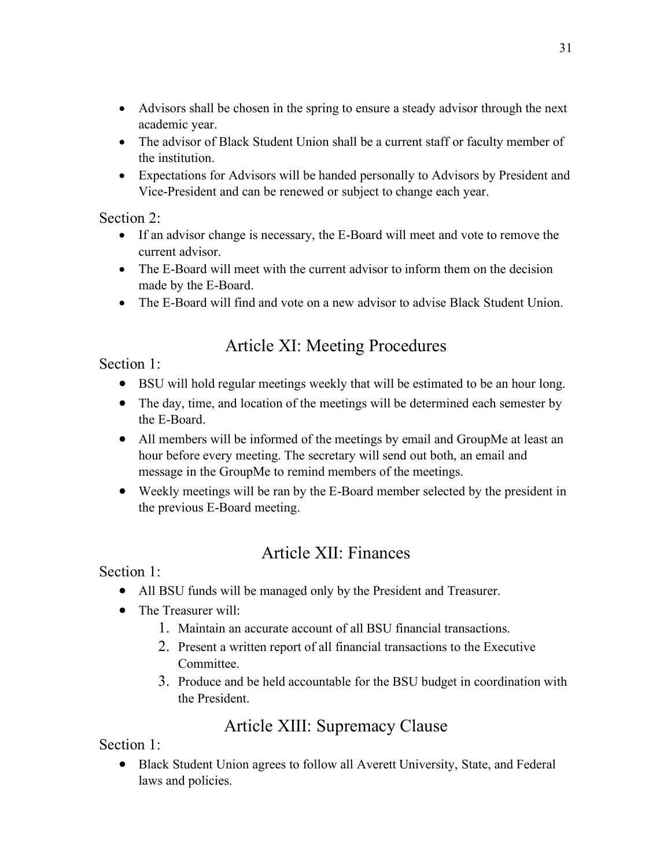- Advisors shall be chosen in the spring to ensure a steady advisor through the next academic year.
- The advisor of Black Student Union shall be a current staff or faculty member of the institution.
- Expectations for Advisors will be handed personally to Advisors by President and Vice-President and can be renewed or subject to change each year.

Section 2:

- If an advisor change is necessary, the E-Board will meet and vote to remove the current advisor.
- The E-Board will meet with the current advisor to inform them on the decision made by the E-Board.
- The E-Board will find and vote on a new advisor to advise Black Student Union.

## Article XI: Meeting Procedures

Section 1:

- BSU will hold regular meetings weekly that will be estimated to be an hour long.
- The day, time, and location of the meetings will be determined each semester by the E-Board.
- All members will be informed of the meetings by email and GroupMe at least an hour before every meeting. The secretary will send out both, an email and message in the GroupMe to remind members of the meetings.
- Weekly meetings will be ran by the E-Board member selected by the president in the previous E-Board meeting.

## Article XII: Finances

Section 1:

- All BSU funds will be managed only by the President and Treasurer.
- The Treasurer will:
	- 1. Maintain an accurate account of all BSU financial transactions.
	- 2. Present a written report of all financial transactions to the Executive Committee.
	- 3. Produce and be held accountable for the BSU budget in coordination with the President.

## Article XIII: Supremacy Clause

Section 1:

• Black Student Union agrees to follow all Averett University, State, and Federal laws and policies.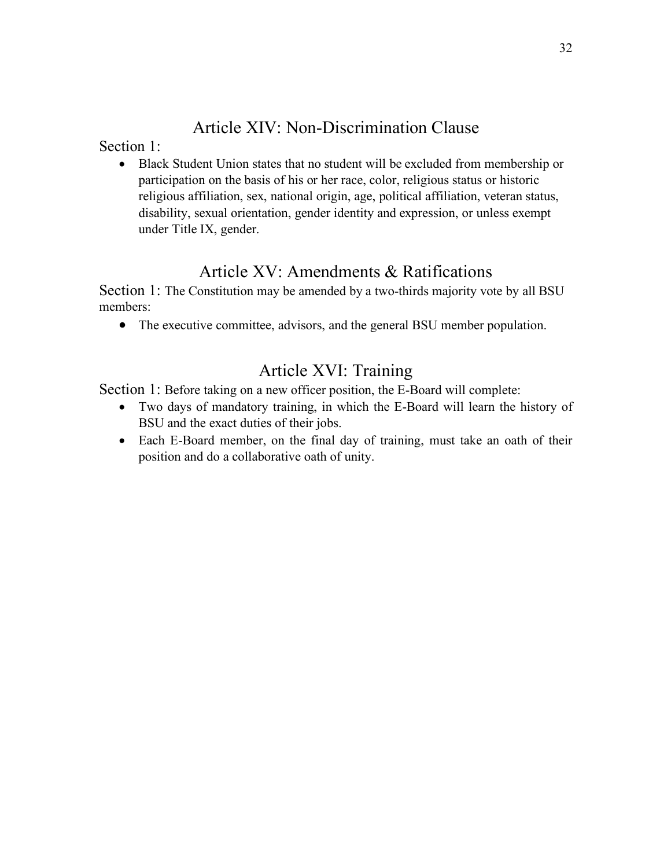## Article XIV: Non-Discrimination Clause

Section 1:

• Black Student Union states that no student will be excluded from membership or participation on the basis of his or her race, color, religious status or historic religious affiliation, sex, national origin, age, political affiliation, veteran status, disability, sexual orientation, gender identity and expression, or unless exempt under Title IX, gender.

## Article XV: Amendments & Ratifications

Section 1: The Constitution may be amended by a two-thirds majority vote by all BSU members:

• The executive committee, advisors, and the general BSU member population.

## Article XVI: Training

Section 1: Before taking on a new officer position, the E-Board will complete:

- Two days of mandatory training, in which the E-Board will learn the history of BSU and the exact duties of their jobs.
- Each E-Board member, on the final day of training, must take an oath of their position and do a collaborative oath of unity.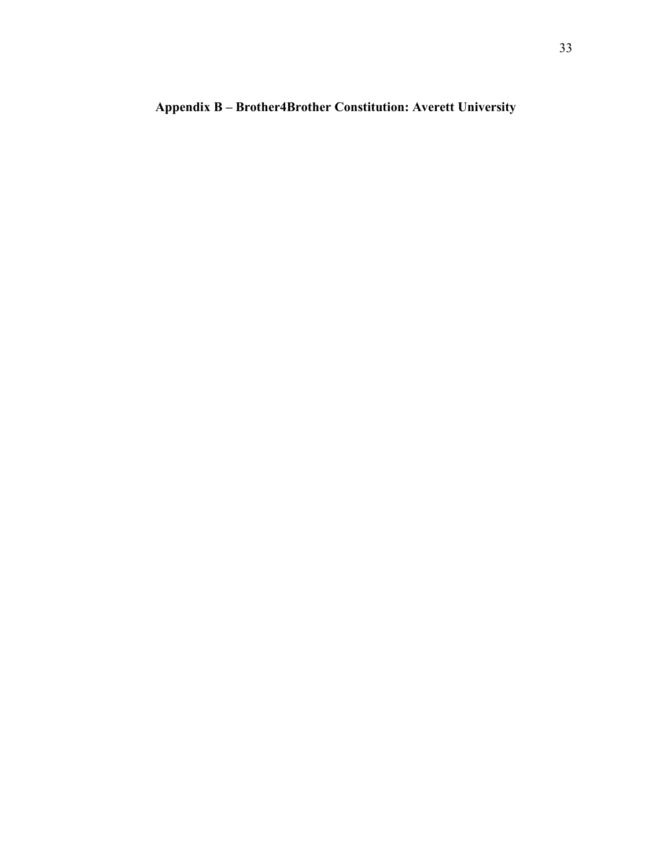## **Appendix B – Brother4Brother Constitution: Averett University**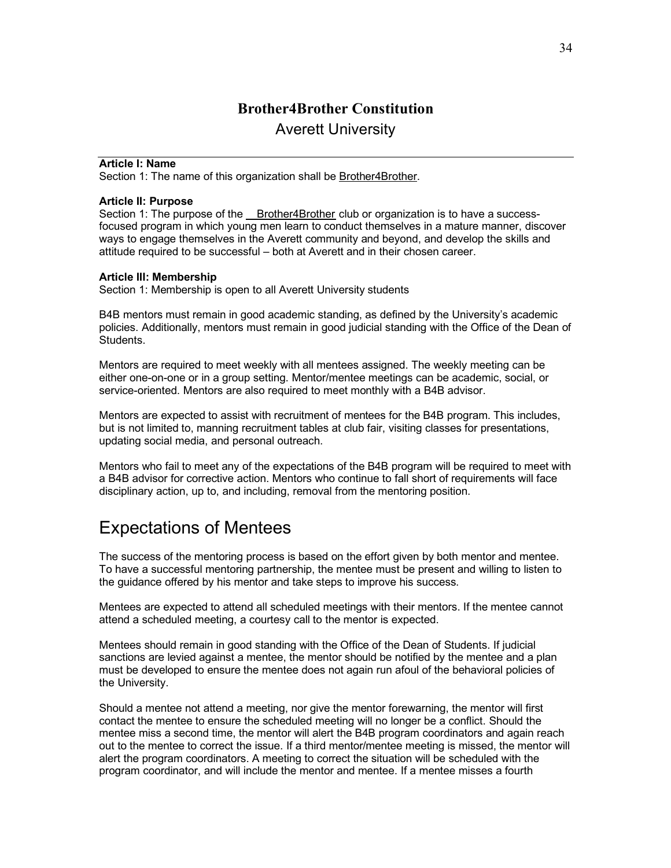## **Brother4Brother Constitution** Averett University

#### **Article I: Name**

Section 1: The name of this organization shall be Brother4Brother.

#### **Article II: Purpose**

Section 1: The purpose of the Brother4Brother club or organization is to have a successfocused program in which young men learn to conduct themselves in a mature manner, discover ways to engage themselves in the Averett community and beyond, and develop the skills and attitude required to be successful – both at Averett and in their chosen career.

#### **Article III: Membership**

Section 1: Membership is open to all Averett University students

B4B mentors must remain in good academic standing, as defined by the University's academic policies. Additionally, mentors must remain in good judicial standing with the Office of the Dean of Students.

Mentors are required to meet weekly with all mentees assigned. The weekly meeting can be either one-on-one or in a group setting. Mentor/mentee meetings can be academic, social, or service-oriented. Mentors are also required to meet monthly with a B4B advisor.

Mentors are expected to assist with recruitment of mentees for the B4B program. This includes, but is not limited to, manning recruitment tables at club fair, visiting classes for presentations, updating social media, and personal outreach.

Mentors who fail to meet any of the expectations of the B4B program will be required to meet with a B4B advisor for corrective action. Mentors who continue to fall short of requirements will face disciplinary action, up to, and including, removal from the mentoring position.

## Expectations of Mentees

The success of the mentoring process is based on the effort given by both mentor and mentee. To have a successful mentoring partnership, the mentee must be present and willing to listen to the guidance offered by his mentor and take steps to improve his success.

Mentees are expected to attend all scheduled meetings with their mentors. If the mentee cannot attend a scheduled meeting, a courtesy call to the mentor is expected.

Mentees should remain in good standing with the Office of the Dean of Students. If judicial sanctions are levied against a mentee, the mentor should be notified by the mentee and a plan must be developed to ensure the mentee does not again run afoul of the behavioral policies of the University.

Should a mentee not attend a meeting, nor give the mentor forewarning, the mentor will first contact the mentee to ensure the scheduled meeting will no longer be a conflict. Should the mentee miss a second time, the mentor will alert the B4B program coordinators and again reach out to the mentee to correct the issue. If a third mentor/mentee meeting is missed, the mentor will alert the program coordinators. A meeting to correct the situation will be scheduled with the program coordinator, and will include the mentor and mentee. If a mentee misses a fourth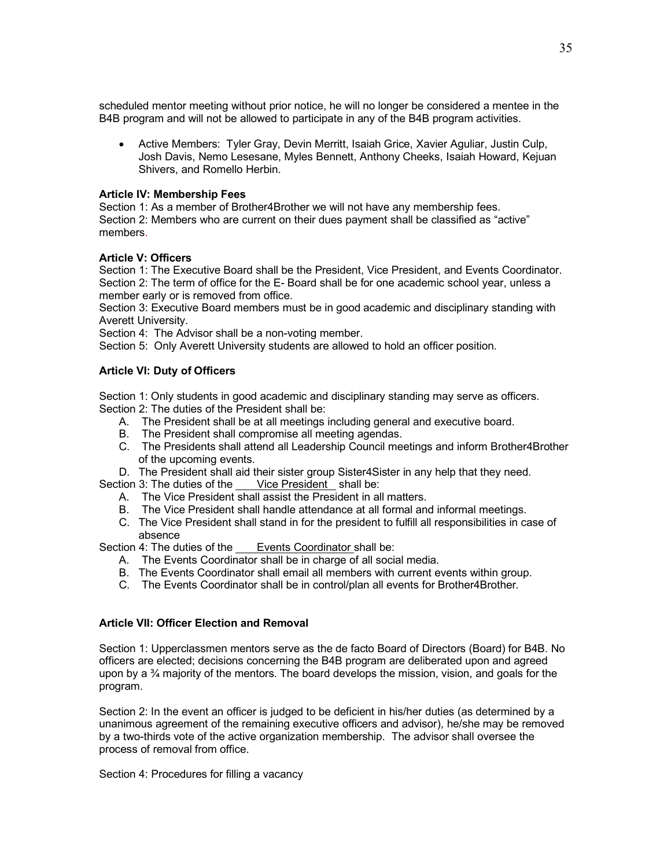scheduled mentor meeting without prior notice, he will no longer be considered a mentee in the B4B program and will not be allowed to participate in any of the B4B program activities.

• Active Members: Tyler Gray, Devin Merritt, Isaiah Grice, Xavier Aguliar, Justin Culp, Josh Davis, Nemo Lesesane, Myles Bennett, Anthony Cheeks, Isaiah Howard, Kejuan Shivers, and Romello Herbin.

#### **Article IV: Membership Fees**

Section 1: As a member of Brother4Brother we will not have any membership fees. Section 2: Members who are current on their dues payment shall be classified as "active" members.

#### **Article V: Officers**

Section 1: The Executive Board shall be the President, Vice President, and Events Coordinator. Section 2: The term of office for the E- Board shall be for one academic school year, unless a member early or is removed from office.

Section 3: Executive Board members must be in good academic and disciplinary standing with Averett University.

Section 4: The Advisor shall be a non-voting member.

Section 5: Only Averett University students are allowed to hold an officer position.

#### **Article VI: Duty of Officers**

Section 1: Only students in good academic and disciplinary standing may serve as officers. Section 2: The duties of the President shall be:

- A. The President shall be at all meetings including general and executive board.
- B. The President shall compromise all meeting agendas.
- C. The Presidents shall attend all Leadership Council meetings and inform Brother4Brother of the upcoming events.
- D. The President shall aid their sister group Sister4Sister in any help that they need.

Section 3: The duties of the Vice President shall be:

- A. The Vice President shall assist the President in all matters.
- B. The Vice President shall handle attendance at all formal and informal meetings.
- C. The Vice President shall stand in for the president to fulfill all responsibilities in case of absence

Section 4: The duties of the Events Coordinator shall be:

- A. The Events Coordinator shall be in charge of all social media.
- B. The Events Coordinator shall email all members with current events within group.
- C. The Events Coordinator shall be in control/plan all events for Brother4Brother.

#### **Article VII: Officer Election and Removal**

Section 1: Upperclassmen mentors serve as the de facto Board of Directors (Board) for B4B. No officers are elected; decisions concerning the B4B program are deliberated upon and agreed upon by a  $\frac{3}{4}$  majority of the mentors. The board develops the mission, vision, and goals for the program.

Section 2: In the event an officer is judged to be deficient in his/her duties (as determined by a unanimous agreement of the remaining executive officers and advisor), he/she may be removed by a two-thirds vote of the active organization membership. The advisor shall oversee the process of removal from office.

Section 4: Procedures for filling a vacancy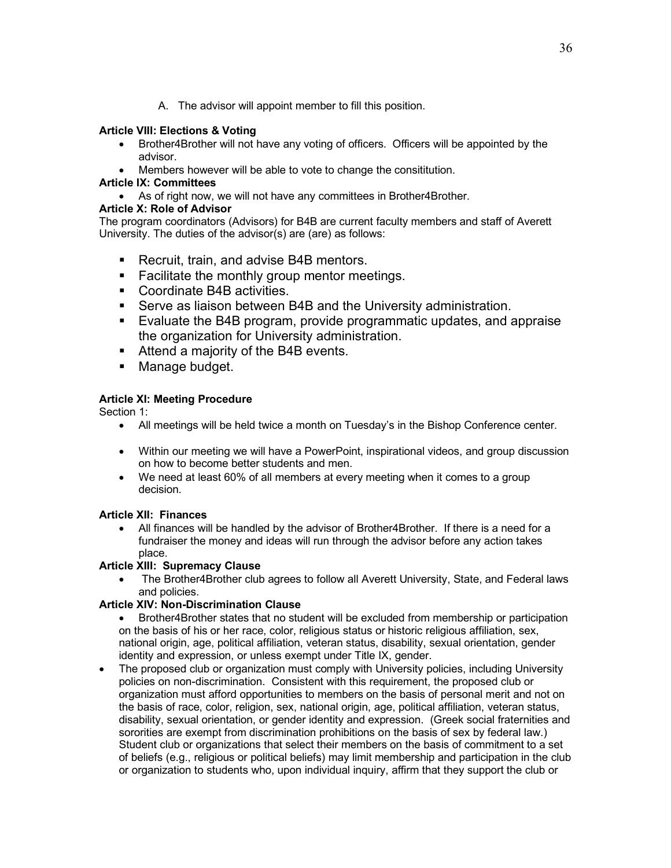A. The advisor will appoint member to fill this position.

#### **Article VIII: Elections & Voting**

- Brother4Brother will not have any voting of officers. Officers will be appointed by the advisor.
- Members however will be able to vote to change the consititution.

#### **Article IX: Committees**

• As of right now, we will not have any committees in Brother4Brother.

#### **Article X: Role of Advisor**

The program coordinators (Advisors) for B4B are current faculty members and staff of Averett University. The duties of the advisor(s) are (are) as follows:

- Recruit, train, and advise B4B mentors.
- Facilitate the monthly group mentor meetings.
- Coordinate B4B activities.
- Serve as liaison between B4B and the University administration.
- § Evaluate the B4B program, provide programmatic updates, and appraise the organization for University administration.
- Attend a majority of the B4B events.
- Manage budget.

### **Article XI: Meeting Procedure**

Section 1:

- All meetings will be held twice a month on Tuesday's in the Bishop Conference center.
- Within our meeting we will have a PowerPoint, inspirational videos, and group discussion on how to become better students and men.
- We need at least 60% of all members at every meeting when it comes to a group decision.

### **Article XII: Finances**

• All finances will be handled by the advisor of Brother4Brother. If there is a need for a fundraiser the money and ideas will run through the advisor before any action takes place.

### **Article XIII: Supremacy Clause**

• The Brother4Brother club agrees to follow all Averett University, State, and Federal laws and policies.

#### **Article XIV: Non-Discrimination Clause**

- Brother4Brother states that no student will be excluded from membership or participation on the basis of his or her race, color, religious status or historic religious affiliation, sex, national origin, age, political affiliation, veteran status, disability, sexual orientation, gender identity and expression, or unless exempt under Title IX, gender.
- The proposed club or organization must comply with University policies, including University policies on non-discrimination. Consistent with this requirement, the proposed club or organization must afford opportunities to members on the basis of personal merit and not on the basis of race, color, religion, sex, national origin, age, political affiliation, veteran status, disability, sexual orientation, or gender identity and expression. (Greek social fraternities and sororities are exempt from discrimination prohibitions on the basis of sex by federal law.) Student club or organizations that select their members on the basis of commitment to a set of beliefs (e.g., religious or political beliefs) may limit membership and participation in the club or organization to students who, upon individual inquiry, affirm that they support the club or